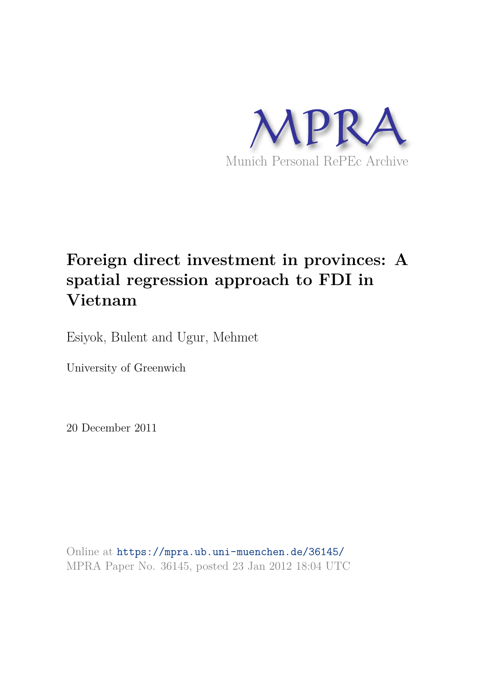

# **Foreign direct investment in provinces: A spatial regression approach to FDI in Vietnam**

Esiyok, Bulent and Ugur, Mehmet

University of Greenwich

20 December 2011

Online at https://mpra.ub.uni-muenchen.de/36145/ MPRA Paper No. 36145, posted 23 Jan 2012 18:04 UTC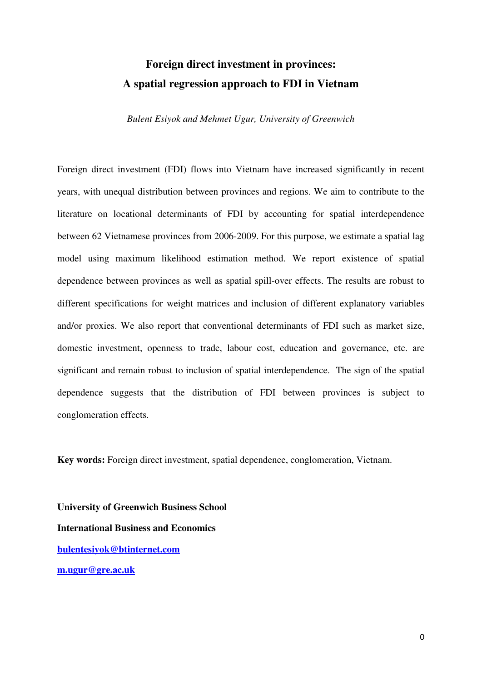# **Foreign direct investment in provinces: A spatial regression approach to FDI in Vietnam**

*Bulent Esiyok and Mehmet Ugur, University of Greenwich* 

Foreign direct investment (FDI) flows into Vietnam have increased significantly in recent years, with unequal distribution between provinces and regions. We aim to contribute to the literature on locational determinants of FDI by accounting for spatial interdependence between 62 Vietnamese provinces from 2006-2009. For this purpose, we estimate a spatial lag model using maximum likelihood estimation method. We report existence of spatial dependence between provinces as well as spatial spill-over effects. The results are robust to different specifications for weight matrices and inclusion of different explanatory variables and/or proxies. We also report that conventional determinants of FDI such as market size, domestic investment, openness to trade, labour cost, education and governance, etc. are significant and remain robust to inclusion of spatial interdependence. The sign of the spatial dependence suggests that the distribution of FDI between provinces is subject to conglomeration effects.

**Key words:** Foreign direct investment, spatial dependence, conglomeration, Vietnam.

**University of Greenwich Business School International Business and Economics bulentesiyok@btinternet.com m.ugur@gre.ac.uk**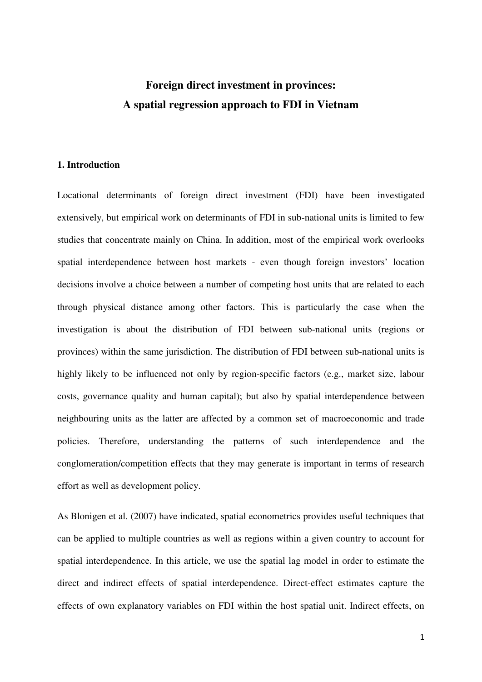## **Foreign direct investment in provinces: A spatial regression approach to FDI in Vietnam**

#### **1. Introduction**

Locational determinants of foreign direct investment (FDI) have been investigated extensively, but empirical work on determinants of FDI in sub-national units is limited to few studies that concentrate mainly on China. In addition, most of the empirical work overlooks spatial interdependence between host markets - even though foreign investors' location decisions involve a choice between a number of competing host units that are related to each through physical distance among other factors. This is particularly the case when the investigation is about the distribution of FDI between sub-national units (regions or provinces) within the same jurisdiction. The distribution of FDI between sub-national units is highly likely to be influenced not only by region-specific factors (e.g., market size, labour costs, governance quality and human capital); but also by spatial interdependence between neighbouring units as the latter are affected by a common set of macroeconomic and trade policies. Therefore, understanding the patterns of such interdependence and the conglomeration/competition effects that they may generate is important in terms of research effort as well as development policy.

As Blonigen et al. (2007) have indicated, spatial econometrics provides useful techniques that can be applied to multiple countries as well as regions within a given country to account for spatial interdependence. In this article, we use the spatial lag model in order to estimate the direct and indirect effects of spatial interdependence. Direct-effect estimates capture the effects of own explanatory variables on FDI within the host spatial unit. Indirect effects, on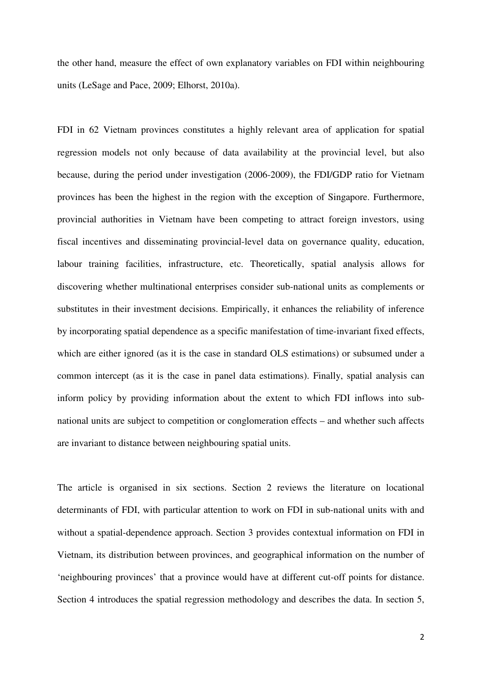the other hand, measure the effect of own explanatory variables on FDI within neighbouring units (LeSage and Pace, 2009; Elhorst, 2010a).

FDI in 62 Vietnam provinces constitutes a highly relevant area of application for spatial regression models not only because of data availability at the provincial level, but also because, during the period under investigation (2006-2009), the FDI/GDP ratio for Vietnam provinces has been the highest in the region with the exception of Singapore. Furthermore, provincial authorities in Vietnam have been competing to attract foreign investors, using fiscal incentives and disseminating provincial-level data on governance quality, education, labour training facilities, infrastructure, etc. Theoretically, spatial analysis allows for discovering whether multinational enterprises consider sub-national units as complements or substitutes in their investment decisions. Empirically, it enhances the reliability of inference by incorporating spatial dependence as a specific manifestation of time-invariant fixed effects, which are either ignored (as it is the case in standard OLS estimations) or subsumed under a common intercept (as it is the case in panel data estimations). Finally, spatial analysis can inform policy by providing information about the extent to which FDI inflows into subnational units are subject to competition or conglomeration effects – and whether such affects are invariant to distance between neighbouring spatial units.

The article is organised in six sections. Section 2 reviews the literature on locational determinants of FDI, with particular attention to work on FDI in sub-national units with and without a spatial-dependence approach. Section 3 provides contextual information on FDI in Vietnam, its distribution between provinces, and geographical information on the number of 'neighbouring provinces' that a province would have at different cut-off points for distance. Section 4 introduces the spatial regression methodology and describes the data. In section 5,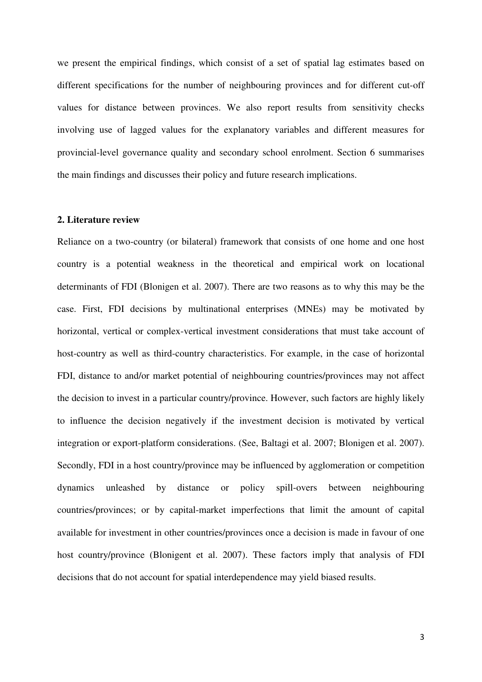we present the empirical findings, which consist of a set of spatial lag estimates based on different specifications for the number of neighbouring provinces and for different cut-off values for distance between provinces. We also report results from sensitivity checks involving use of lagged values for the explanatory variables and different measures for provincial-level governance quality and secondary school enrolment. Section 6 summarises the main findings and discusses their policy and future research implications.

#### **2. Literature review**

Reliance on a two-country (or bilateral) framework that consists of one home and one host country is a potential weakness in the theoretical and empirical work on locational determinants of FDI (Blonigen et al. 2007). There are two reasons as to why this may be the case. First, FDI decisions by multinational enterprises (MNEs) may be motivated by horizontal, vertical or complex-vertical investment considerations that must take account of host-country as well as third-country characteristics. For example, in the case of horizontal FDI, distance to and/or market potential of neighbouring countries/provinces may not affect the decision to invest in a particular country/province. However, such factors are highly likely to influence the decision negatively if the investment decision is motivated by vertical integration or export-platform considerations. (See, Baltagi et al. 2007; Blonigen et al. 2007). Secondly, FDI in a host country/province may be influenced by agglomeration or competition dynamics unleashed by distance or policy spill-overs between neighbouring countries/provinces; or by capital-market imperfections that limit the amount of capital available for investment in other countries/provinces once a decision is made in favour of one host country/province (Blonigent et al. 2007). These factors imply that analysis of FDI decisions that do not account for spatial interdependence may yield biased results.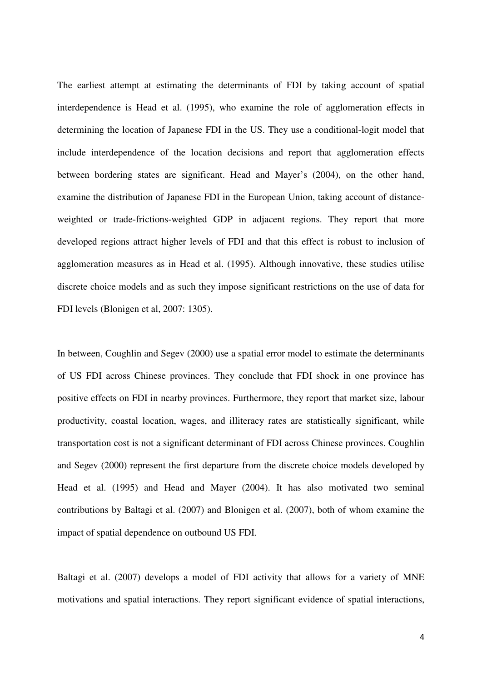The earliest attempt at estimating the determinants of FDI by taking account of spatial interdependence is Head et al. (1995), who examine the role of agglomeration effects in determining the location of Japanese FDI in the US. They use a conditional-logit model that include interdependence of the location decisions and report that agglomeration effects between bordering states are significant. Head and Mayer's (2004), on the other hand, examine the distribution of Japanese FDI in the European Union, taking account of distanceweighted or trade-frictions-weighted GDP in adjacent regions. They report that more developed regions attract higher levels of FDI and that this effect is robust to inclusion of agglomeration measures as in Head et al. (1995). Although innovative, these studies utilise discrete choice models and as such they impose significant restrictions on the use of data for FDI levels (Blonigen et al, 2007: 1305).

In between, Coughlin and Segev (2000) use a spatial error model to estimate the determinants of US FDI across Chinese provinces. They conclude that FDI shock in one province has positive effects on FDI in nearby provinces. Furthermore, they report that market size, labour productivity, coastal location, wages, and illiteracy rates are statistically significant, while transportation cost is not a significant determinant of FDI across Chinese provinces. Coughlin and Segev (2000) represent the first departure from the discrete choice models developed by Head et al. (1995) and Head and Mayer (2004). It has also motivated two seminal contributions by Baltagi et al. (2007) and Blonigen et al. (2007), both of whom examine the impact of spatial dependence on outbound US FDI.

Baltagi et al. (2007) develops a model of FDI activity that allows for a variety of MNE motivations and spatial interactions. They report significant evidence of spatial interactions,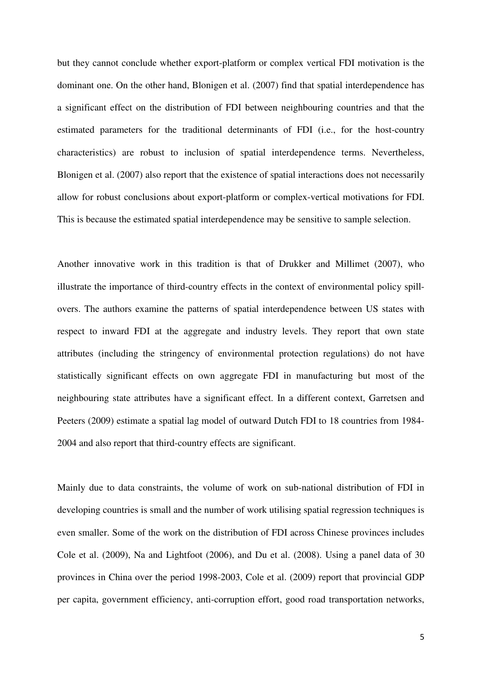but they cannot conclude whether export-platform or complex vertical FDI motivation is the dominant one. On the other hand, Blonigen et al. (2007) find that spatial interdependence has a significant effect on the distribution of FDI between neighbouring countries and that the estimated parameters for the traditional determinants of FDI (i.e., for the host-country characteristics) are robust to inclusion of spatial interdependence terms. Nevertheless, Blonigen et al. (2007) also report that the existence of spatial interactions does not necessarily allow for robust conclusions about export-platform or complex-vertical motivations for FDI. This is because the estimated spatial interdependence may be sensitive to sample selection.

Another innovative work in this tradition is that of Drukker and Millimet (2007), who illustrate the importance of third-country effects in the context of environmental policy spillovers. The authors examine the patterns of spatial interdependence between US states with respect to inward FDI at the aggregate and industry levels. They report that own state attributes (including the stringency of environmental protection regulations) do not have statistically significant effects on own aggregate FDI in manufacturing but most of the neighbouring state attributes have a significant effect. In a different context, Garretsen and Peeters (2009) estimate a spatial lag model of outward Dutch FDI to 18 countries from 1984- 2004 and also report that third-country effects are significant.

Mainly due to data constraints, the volume of work on sub-national distribution of FDI in developing countries is small and the number of work utilising spatial regression techniques is even smaller. Some of the work on the distribution of FDI across Chinese provinces includes Cole et al. (2009), Na and Lightfoot (2006), and Du et al. (2008). Using a panel data of 30 provinces in China over the period 1998-2003, Cole et al. (2009) report that provincial GDP per capita, government efficiency, anti-corruption effort, good road transportation networks,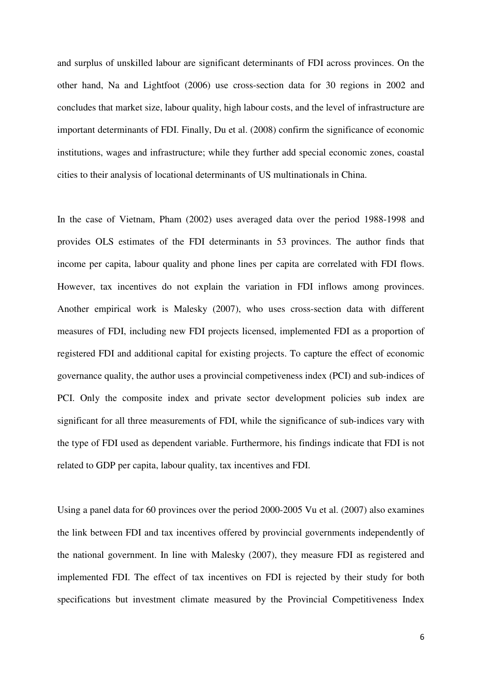and surplus of unskilled labour are significant determinants of FDI across provinces. On the other hand, Na and Lightfoot (2006) use cross-section data for 30 regions in 2002 and concludes that market size, labour quality, high labour costs, and the level of infrastructure are important determinants of FDI. Finally, Du et al. (2008) confirm the significance of economic institutions, wages and infrastructure; while they further add special economic zones, coastal cities to their analysis of locational determinants of US multinationals in China.

In the case of Vietnam, Pham (2002) uses averaged data over the period 1988-1998 and provides OLS estimates of the FDI determinants in 53 provinces. The author finds that income per capita, labour quality and phone lines per capita are correlated with FDI flows. However, tax incentives do not explain the variation in FDI inflows among provinces. Another empirical work is Malesky (2007), who uses cross-section data with different measures of FDI, including new FDI projects licensed, implemented FDI as a proportion of registered FDI and additional capital for existing projects. To capture the effect of economic governance quality, the author uses a provincial competiveness index (PCI) and sub-indices of PCI. Only the composite index and private sector development policies sub index are significant for all three measurements of FDI, while the significance of sub-indices vary with the type of FDI used as dependent variable. Furthermore, his findings indicate that FDI is not related to GDP per capita, labour quality, tax incentives and FDI.

Using a panel data for 60 provinces over the period 2000-2005 Vu et al. (2007) also examines the link between FDI and tax incentives offered by provincial governments independently of the national government. In line with Malesky (2007), they measure FDI as registered and implemented FDI. The effect of tax incentives on FDI is rejected by their study for both specifications but investment climate measured by the Provincial Competitiveness Index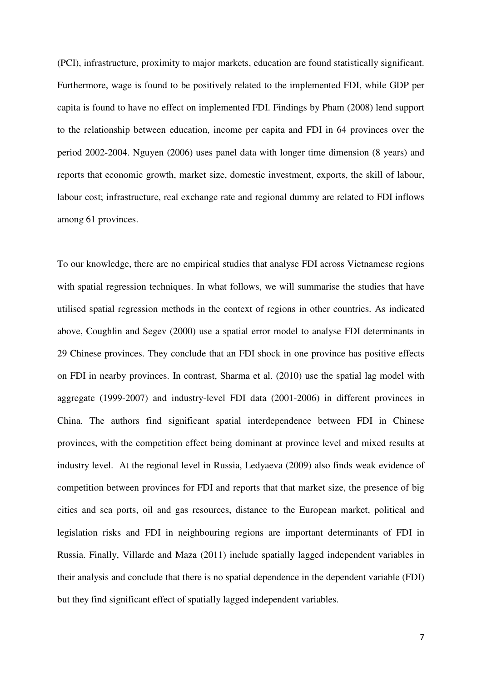(PCI), infrastructure, proximity to major markets, education are found statistically significant. Furthermore, wage is found to be positively related to the implemented FDI, while GDP per capita is found to have no effect on implemented FDI. Findings by Pham (2008) lend support to the relationship between education, income per capita and FDI in 64 provinces over the period 2002-2004. Nguyen (2006) uses panel data with longer time dimension (8 years) and reports that economic growth, market size, domestic investment, exports, the skill of labour, labour cost; infrastructure, real exchange rate and regional dummy are related to FDI inflows among 61 provinces.

To our knowledge, there are no empirical studies that analyse FDI across Vietnamese regions with spatial regression techniques. In what follows, we will summarise the studies that have utilised spatial regression methods in the context of regions in other countries. As indicated above, Coughlin and Segev (2000) use a spatial error model to analyse FDI determinants in 29 Chinese provinces. They conclude that an FDI shock in one province has positive effects on FDI in nearby provinces. In contrast, Sharma et al. (2010) use the spatial lag model with aggregate (1999-2007) and industry-level FDI data (2001-2006) in different provinces in China. The authors find significant spatial interdependence between FDI in Chinese provinces, with the competition effect being dominant at province level and mixed results at industry level. At the regional level in Russia, Ledyaeva (2009) also finds weak evidence of competition between provinces for FDI and reports that that market size, the presence of big cities and sea ports, oil and gas resources, distance to the European market, political and legislation risks and FDI in neighbouring regions are important determinants of FDI in Russia. Finally, Villarde and Maza (2011) include spatially lagged independent variables in their analysis and conclude that there is no spatial dependence in the dependent variable (FDI) but they find significant effect of spatially lagged independent variables.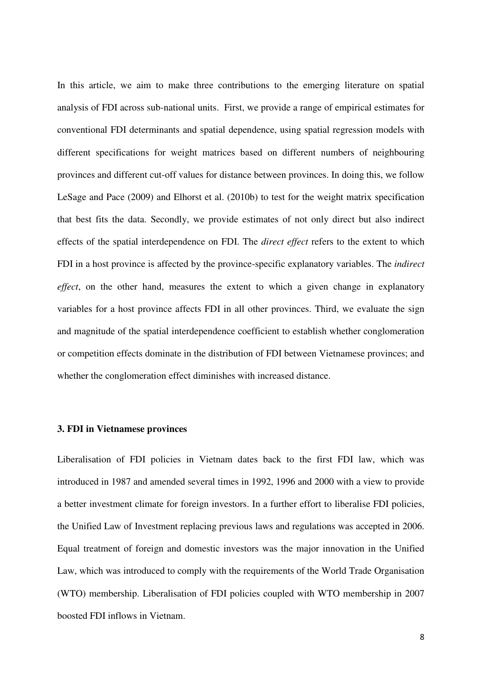In this article, we aim to make three contributions to the emerging literature on spatial analysis of FDI across sub-national units. First, we provide a range of empirical estimates for conventional FDI determinants and spatial dependence, using spatial regression models with different specifications for weight matrices based on different numbers of neighbouring provinces and different cut-off values for distance between provinces. In doing this, we follow LeSage and Pace (2009) and Elhorst et al. (2010b) to test for the weight matrix specification that best fits the data. Secondly, we provide estimates of not only direct but also indirect effects of the spatial interdependence on FDI. The *direct effect* refers to the extent to which FDI in a host province is affected by the province-specific explanatory variables. The *indirect effect*, on the other hand, measures the extent to which a given change in explanatory variables for a host province affects FDI in all other provinces. Third, we evaluate the sign and magnitude of the spatial interdependence coefficient to establish whether conglomeration or competition effects dominate in the distribution of FDI between Vietnamese provinces; and whether the conglomeration effect diminishes with increased distance.

#### **3. FDI in Vietnamese provinces**

Liberalisation of FDI policies in Vietnam dates back to the first FDI law, which was introduced in 1987 and amended several times in 1992, 1996 and 2000 with a view to provide a better investment climate for foreign investors. In a further effort to liberalise FDI policies, the Unified Law of Investment replacing previous laws and regulations was accepted in 2006. Equal treatment of foreign and domestic investors was the major innovation in the Unified Law, which was introduced to comply with the requirements of the World Trade Organisation (WTO) membership. Liberalisation of FDI policies coupled with WTO membership in 2007 boosted FDI inflows in Vietnam.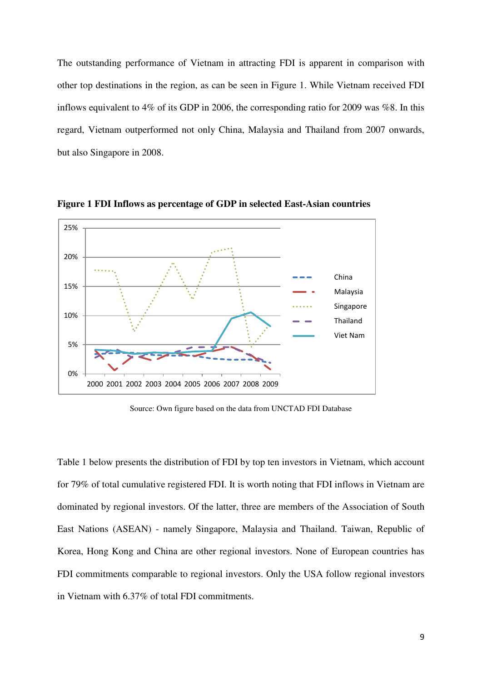The outstanding performance of Vietnam in attracting FDI is apparent in comparison with other top destinations in the region, as can be seen in Figure 1. While Vietnam received FDI inflows equivalent to 4% of its GDP in 2006, the corresponding ratio for 2009 was %8. In this regard, Vietnam outperformed not only China, Malaysia and Thailand from 2007 onwards, but also Singapore in 2008.



**Figure 1 FDI Inflows as percentage of GDP in selected East-Asian countries**

Source: Own figure based on the data from UNCTAD FDI Database

Table 1 below presents the distribution of FDI by top ten investors in Vietnam, which account for 79% of total cumulative registered FDI. It is worth noting that FDI inflows in Vietnam are dominated by regional investors. Of the latter, three are members of the Association of South East Nations (ASEAN) - namely Singapore, Malaysia and Thailand. Taiwan, Republic of Korea, Hong Kong and China are other regional investors. None of European countries has FDI commitments comparable to regional investors. Only the USA follow regional investors in Vietnam with 6.37% of total FDI commitments.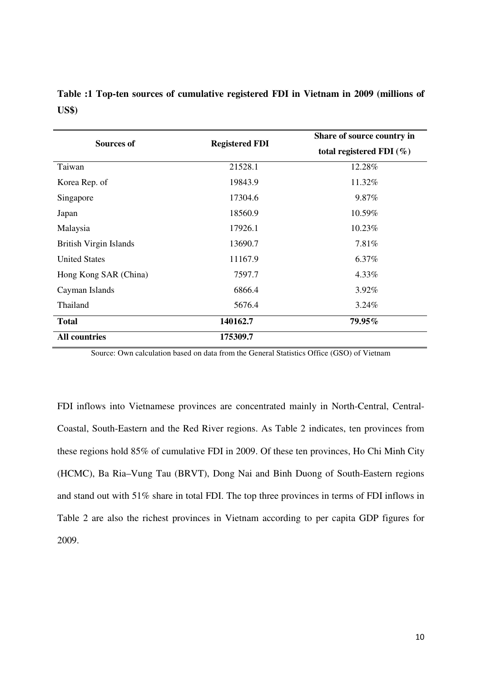|              |  | Table :1 Top-ten sources of cumulative registered FDI in Vietnam in 2009 (millions of |  |  |  |  |
|--------------|--|---------------------------------------------------------------------------------------|--|--|--|--|
| <b>US\$)</b> |  |                                                                                       |  |  |  |  |

| <b>Sources of</b>             | <b>Registered FDI</b> | Share of source country in   |
|-------------------------------|-----------------------|------------------------------|
|                               |                       | total registered FDI $(\% )$ |
| Taiwan                        | 21528.1               | 12.28%                       |
| Korea Rep. of                 | 19843.9               | 11.32%                       |
| Singapore                     | 17304.6               | 9.87%                        |
| Japan                         | 18560.9               | 10.59%                       |
| Malaysia                      | 17926.1               | 10.23%                       |
| <b>British Virgin Islands</b> | 13690.7               | 7.81%                        |
| <b>United States</b>          | 11167.9               | 6.37%                        |
| Hong Kong SAR (China)         | 7597.7                | 4.33%                        |
| Cayman Islands                | 6866.4                | $3.92\%$                     |
| Thailand                      | 5676.4                | 3.24%                        |
| <b>Total</b>                  | 140162.7              | 79.95%                       |
| <b>All countries</b>          | 175309.7              |                              |

Source: Own calculation based on data from the General Statistics Office (GSO) of Vietnam

FDI inflows into Vietnamese provinces are concentrated mainly in North-Central, Central-Coastal, South-Eastern and the Red River regions. As Table 2 indicates, ten provinces from these regions hold 85% of cumulative FDI in 2009. Of these ten provinces, Ho Chi Minh City (HCMC), Ba Ria–Vung Tau (BRVT), Dong Nai and Binh Duong of South-Eastern regions and stand out with 51% share in total FDI. The top three provinces in terms of FDI inflows in Table 2 are also the richest provinces in Vietnam according to per capita GDP figures for 2009.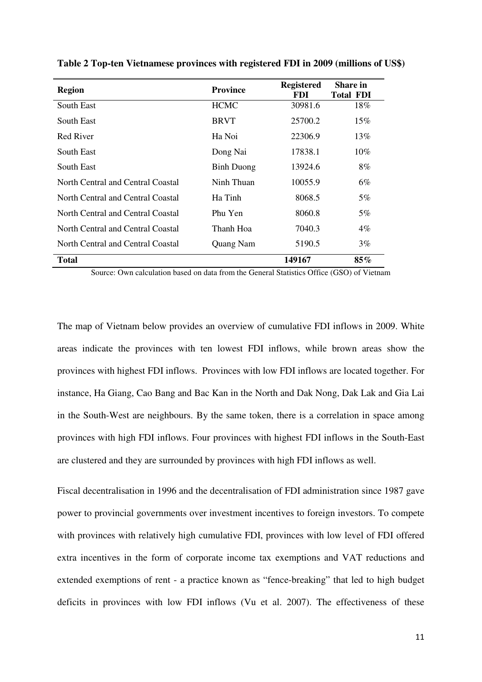| <b>Region</b>                     | <b>Province</b>   | <b>Registered</b><br>FDI. | <b>Share in</b><br><b>Total FDI</b> |
|-----------------------------------|-------------------|---------------------------|-------------------------------------|
| South East                        | <b>HCMC</b>       | 30981.6                   | 18%                                 |
| South East                        | <b>BRVT</b>       | 25700.2                   | 15%                                 |
| Red River                         | Ha Noi            | 22306.9                   | 13%                                 |
| South East                        | Dong Nai          | 17838.1                   | 10%                                 |
| South East                        | <b>Binh Duong</b> | 13924.6                   | 8%                                  |
| North Central and Central Coastal | Ninh Thuan        | 10055.9                   | 6%                                  |
| North Central and Central Coastal | Ha Tinh           | 8068.5                    | 5%                                  |
| North Central and Central Coastal | Phu Yen           | 8060.8                    | 5%                                  |
| North Central and Central Coastal | Thanh Hoa         | 7040.3                    | $4\%$                               |
| North Central and Central Coastal | Quang Nam         | 5190.5                    | 3%                                  |
| <b>Total</b>                      |                   | 149167                    | 85%                                 |

**Table 2 Top-ten Vietnamese provinces with registered FDI in 2009 (millions of US\$)** 

Source: Own calculation based on data from the General Statistics Office (GSO) of Vietnam

The map of Vietnam below provides an overview of cumulative FDI inflows in 2009. White areas indicate the provinces with ten lowest FDI inflows, while brown areas show the provinces with highest FDI inflows. Provinces with low FDI inflows are located together. For instance, Ha Giang, Cao Bang and Bac Kan in the North and Dak Nong, Dak Lak and Gia Lai in the South-West are neighbours. By the same token, there is a correlation in space among provinces with high FDI inflows. Four provinces with highest FDI inflows in the South-East are clustered and they are surrounded by provinces with high FDI inflows as well.

Fiscal decentralisation in 1996 and the decentralisation of FDI administration since 1987 gave power to provincial governments over investment incentives to foreign investors. To compete with provinces with relatively high cumulative FDI, provinces with low level of FDI offered extra incentives in the form of corporate income tax exemptions and VAT reductions and extended exemptions of rent - a practice known as "fence-breaking" that led to high budget deficits in provinces with low FDI inflows (Vu et al. 2007). The effectiveness of these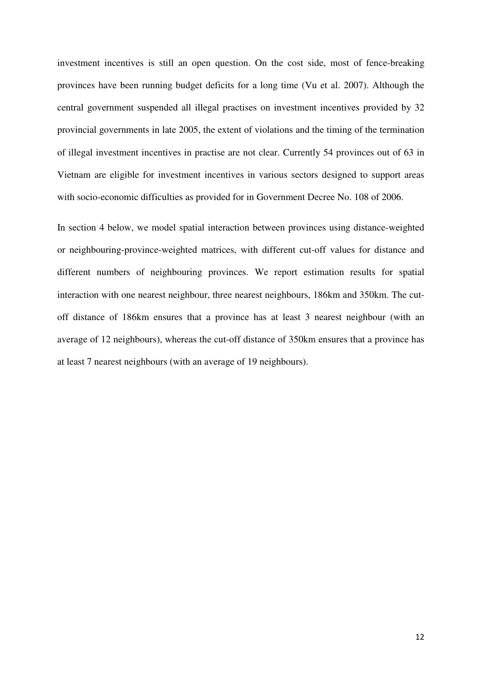investment incentives is still an open question. On the cost side, most of fence-breaking provinces have been running budget deficits for a long time (Vu et al. 2007). Although the central government suspended all illegal practises on investment incentives provided by 32 provincial governments in late 2005, the extent of violations and the timing of the termination of illegal investment incentives in practise are not clear. Currently 54 provinces out of 63 in Vietnam are eligible for investment incentives in various sectors designed to support areas with socio-economic difficulties as provided for in Government Decree No. 108 of 2006.

In section 4 below, we model spatial interaction between provinces using distance-weighted or neighbouring-province-weighted matrices, with different cut-off values for distance and different numbers of neighbouring provinces. We report estimation results for spatial interaction with one nearest neighbour, three nearest neighbours, 186km and 350km. The cutoff distance of 186km ensures that a province has at least 3 nearest neighbour (with an average of 12 neighbours), whereas the cut-off distance of 350km ensures that a province has at least 7 nearest neighbours (with an average of 19 neighbours).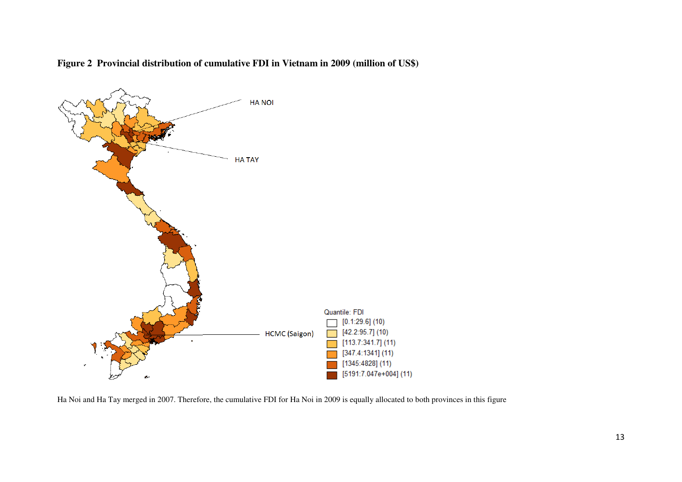

**Figure 2 Provincial distribution of cumulative FDI in Vietnam in 2009 (million of US\$)** 

Ha Noi and Ha Tay merged in 2007. Therefore, the cumulative FDI for Ha Noi in 2009 is equally allocated to both provinces in this figure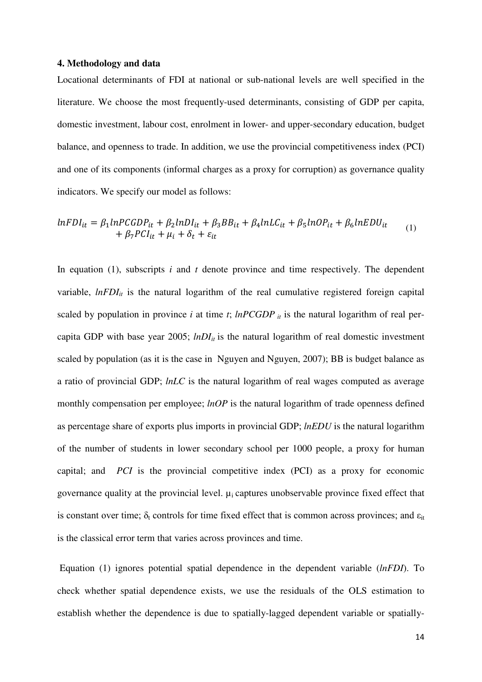#### **4. Methodology and data**

Locational determinants of FDI at national or sub-national levels are well specified in the literature. We choose the most frequently-used determinants, consisting of GDP per capita, domestic investment, labour cost, enrolment in lower- and upper-secondary education, budget balance, and openness to trade. In addition, we use the provincial competitiveness index (PCI) and one of its components (informal charges as a proxy for corruption) as governance quality indicators. We specify our model as follows:

$$
lnFDI_{it} = \beta_1 lnPCGDP_{it} + \beta_2 lnDI_{it} + \beta_3 BB_{it} + \beta_4 lnLC_{it} + \beta_5 lnOP_{it} + \beta_6 lnEDU_{it}
$$
  
+  $\beta_7 PCI_{it} + \mu_i + \delta_t + \varepsilon_{it}$  (1)

In equation (1), subscripts *i* and *t* denote province and time respectively. The dependent variable,  $lnFDI_{it}$  is the natural logarithm of the real cumulative registered foreign capital scaled by population in province *i* at time *t*;  $lnPCGDP$  *it* is the natural logarithm of real percapita GDP with base year 2005;  $lnDI_{it}$  is the natural logarithm of real domestic investment scaled by population (as it is the case in Nguyen and Nguyen, 2007); BB is budget balance as a ratio of provincial GDP; *lnLC* is the natural logarithm of real wages computed as average monthly compensation per employee; *lnOP* is the natural logarithm of trade openness defined as percentage share of exports plus imports in provincial GDP; *lnEDU* is the natural logarithm of the number of students in lower secondary school per 1000 people, a proxy for human capital; and *PCI* is the provincial competitive index (PCI) as a proxy for economic governance quality at the provincial level.  $\mu_i$  captures unobservable province fixed effect that is constant over time;  $\delta_t$  controls for time fixed effect that is common across provinces; and  $\varepsilon_{it}$ is the classical error term that varies across provinces and time.

 Equation (1) ignores potential spatial dependence in the dependent variable (*lnFDI*). To check whether spatial dependence exists, we use the residuals of the OLS estimation to establish whether the dependence is due to spatially-lagged dependent variable or spatially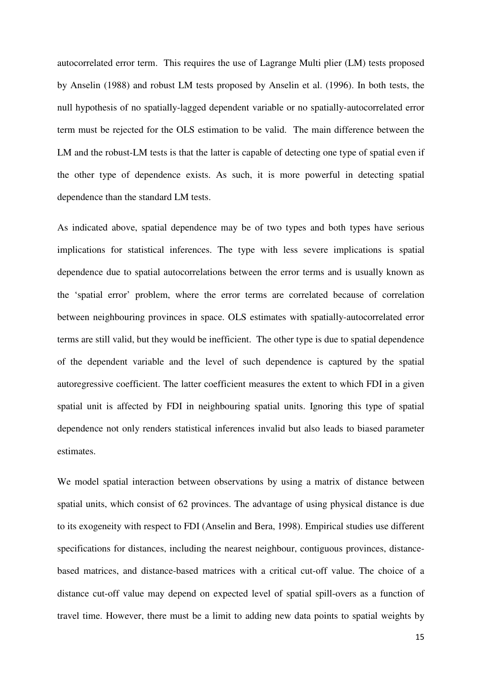autocorrelated error term. This requires the use of Lagrange Multi plier (LM) tests proposed by Anselin (1988) and robust LM tests proposed by Anselin et al. (1996). In both tests, the null hypothesis of no spatially-lagged dependent variable or no spatially-autocorrelated error term must be rejected for the OLS estimation to be valid. The main difference between the LM and the robust-LM tests is that the latter is capable of detecting one type of spatial even if the other type of dependence exists. As such, it is more powerful in detecting spatial dependence than the standard LM tests.

As indicated above, spatial dependence may be of two types and both types have serious implications for statistical inferences. The type with less severe implications is spatial dependence due to spatial autocorrelations between the error terms and is usually known as the 'spatial error' problem, where the error terms are correlated because of correlation between neighbouring provinces in space. OLS estimates with spatially-autocorrelated error terms are still valid, but they would be inefficient. The other type is due to spatial dependence of the dependent variable and the level of such dependence is captured by the spatial autoregressive coefficient. The latter coefficient measures the extent to which FDI in a given spatial unit is affected by FDI in neighbouring spatial units. Ignoring this type of spatial dependence not only renders statistical inferences invalid but also leads to biased parameter estimates.

We model spatial interaction between observations by using a matrix of distance between spatial units, which consist of 62 provinces. The advantage of using physical distance is due to its exogeneity with respect to FDI (Anselin and Bera, 1998). Empirical studies use different specifications for distances, including the nearest neighbour, contiguous provinces, distancebased matrices, and distance-based matrices with a critical cut-off value. The choice of a distance cut-off value may depend on expected level of spatial spill-overs as a function of travel time. However, there must be a limit to adding new data points to spatial weights by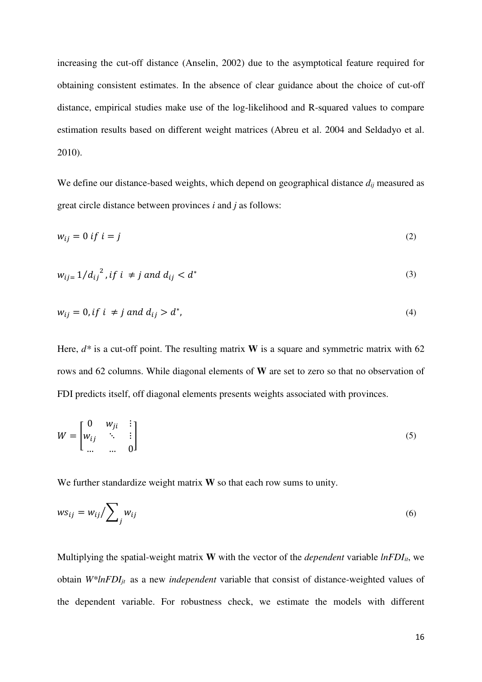increasing the cut-off distance (Anselin, 2002) due to the asymptotical feature required for obtaining consistent estimates. In the absence of clear guidance about the choice of cut-off distance, empirical studies make use of the log-likelihood and R-squared values to compare estimation results based on different weight matrices (Abreu et al. 2004 and Seldadyo et al. 2010).

We define our distance-based weights, which depend on geographical distance  $d_{ij}$  measured as great circle distance between provinces *i* and *j* as follows:

$$
w_{ij} = 0 \text{ if } i = j \tag{2}
$$

$$
w_{ij} = 1/{d_{ij}}^2, if \ i \neq j \ and \ d_{ij} < d^* \tag{3}
$$

$$
w_{ij} = 0, \text{if } i \neq j \text{ and } d_{ij} > d^*, \tag{4}
$$

Here,  $d^*$  is a cut-off point. The resulting matrix **W** is a square and symmetric matrix with 62 rows and 62 columns. While diagonal elements of **W** are set to zero so that no observation of FDI predicts itself, off diagonal elements presents weights associated with provinces.

$$
W = \begin{bmatrix} 0 & w_{ji} & \vdots \\ w_{ij} & \ddots & \vdots \\ \dots & \dots & 0 \end{bmatrix} \tag{5}
$$

We further standardize weight matrix **W** so that each row sums to unity.

$$
ws_{ij} = w_{ij} / \sum_{j} w_{ij}
$$
 (6)

Multiplying the spatial-weight matrix **W** with the vector of the *dependent* variable  $lnFDI<sub>it</sub>$ , we obtain *W\*lnFDIjt* as a new *independent* variable that consist of distance-weighted values of the dependent variable. For robustness check, we estimate the models with different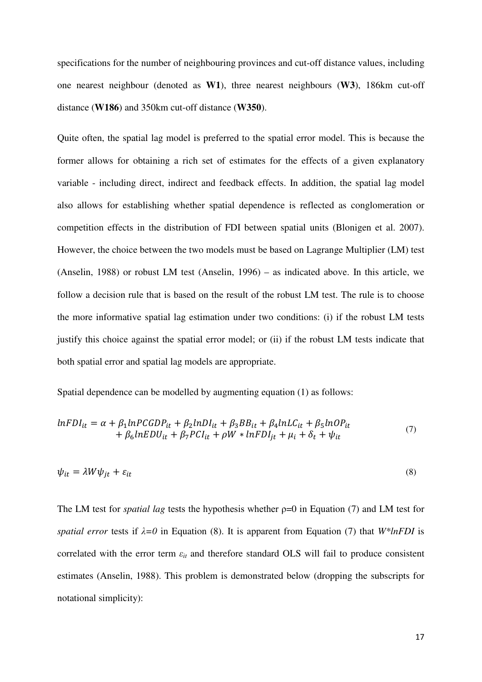specifications for the number of neighbouring provinces and cut-off distance values, including one nearest neighbour (denoted as **W1**), three nearest neighbours (**W3**), 186km cut-off distance (**W186**) and 350km cut-off distance (**W350**).

Quite often, the spatial lag model is preferred to the spatial error model. This is because the former allows for obtaining a rich set of estimates for the effects of a given explanatory variable - including direct, indirect and feedback effects. In addition, the spatial lag model also allows for establishing whether spatial dependence is reflected as conglomeration or competition effects in the distribution of FDI between spatial units (Blonigen et al. 2007). However, the choice between the two models must be based on Lagrange Multiplier (LM) test (Anselin, 1988) or robust LM test (Anselin, 1996) – as indicated above. In this article, we follow a decision rule that is based on the result of the robust LM test. The rule is to choose the more informative spatial lag estimation under two conditions: (i) if the robust LM tests justify this choice against the spatial error model; or (ii) if the robust LM tests indicate that both spatial error and spatial lag models are appropriate.

Spatial dependence can be modelled by augmenting equation (1) as follows:

$$
lnFDI_{it} = \alpha + \beta_1 lnPCGDP_{it} + \beta_2 lnDI_{it} + \beta_3 BB_{it} + \beta_4 lnLC_{it} + \beta_5 lnOP_{it}
$$
  
+  $\beta_6 lnEDU_{it} + \beta_7 PCI_{it} + \rho W * lnFDI_{jt} + \mu_i + \delta_t + \psi_{it}$  (7)

$$
\psi_{it} = \lambda W \psi_{jt} + \varepsilon_{it} \tag{8}
$$

The LM test for *spatial lag* tests the hypothesis whether ρ=0 in Equation (7) and LM test for *spatial error* tests if *λ=0* in Equation (8). It is apparent from Equation (7) that *W\*lnFDI* is correlated with the error term  $\varepsilon$ <sup>*it*</sup> and therefore standard OLS will fail to produce consistent estimates (Anselin, 1988). This problem is demonstrated below (dropping the subscripts for notational simplicity):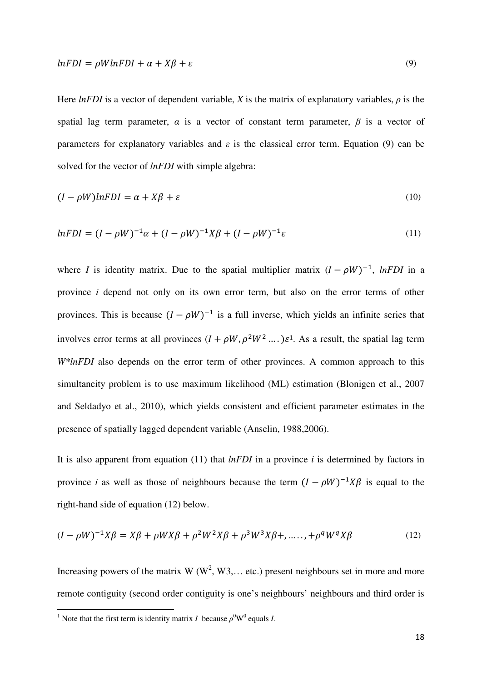Here *lnFDI* is a vector of dependent variable, *X* is the matrix of explanatory variables, *ρ* is the spatial lag term parameter,  $\alpha$  is a vector of constant term parameter,  $\beta$  is a vector of parameters for explanatory variables and  $\varepsilon$  is the classical error term. Equation (9) can be solved for the vector of *lnFDI* with simple algebra:

$$
(I - \rho W)lnFDI = \alpha + X\beta + \varepsilon
$$
\n<sup>(10)</sup>

$$
lnFDI = (I - \rho W)^{-1} \alpha + (I - \rho W)^{-1} X \beta + (I - \rho W)^{-1} \varepsilon
$$
\n(11)

where *I* is identity matrix. Due to the spatial multiplier matrix  $(I - \rho W)^{-1}$ , *lnFDI* in a province *i* depend not only on its own error term, but also on the error terms of other provinces. This is because  $(I - \rho W)^{-1}$  is a full inverse, which yields an infinite series that involves error terms at all provinces  $(I + \rho W, \rho^2 W^2 ...) \varepsilon^1$ . As a result, the spatial lag term *W\*lnFDI* also depends on the error term of other provinces. A common approach to this simultaneity problem is to use maximum likelihood (ML) estimation (Blonigen et al., 2007 and Seldadyo et al., 2010), which yields consistent and efficient parameter estimates in the presence of spatially lagged dependent variable (Anselin, 1988,2006).

It is also apparent from equation (11) that *lnFDI* in a province *i* is determined by factors in province *i* as well as those of neighbours because the term  $(I - \rho W)^{-1} X \beta$  is equal to the right-hand side of equation (12) below.

$$
(I - \rho W)^{-1} X \beta = X \beta + \rho W X \beta + \rho^2 W^2 X \beta + \rho^3 W^3 X \beta + \dots, + \rho^q W^q X \beta \tag{12}
$$

Increasing powers of the matrix W ( $W^2$ , W3,... etc.) present neighbours set in more and more remote contiguity (second order contiguity is one's neighbours' neighbours and third order is

l

<sup>&</sup>lt;sup>1</sup> Note that the first term is identity matrix *I* because  $\rho^0 W^0$  equals *I*.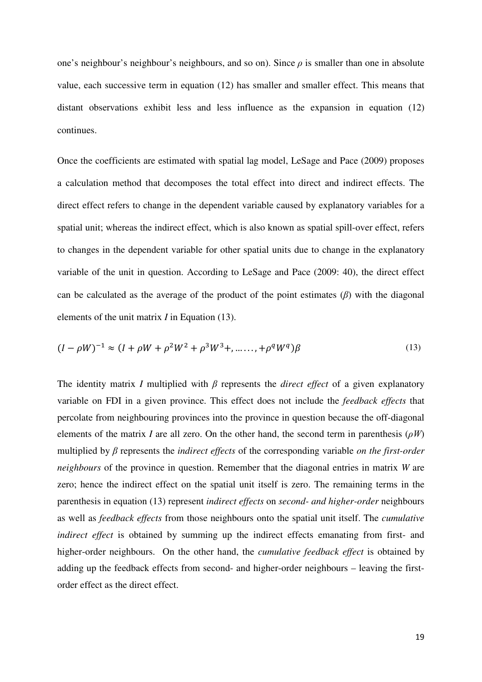one's neighbour's neighbour's neighbours, and so on). Since  $\rho$  is smaller than one in absolute value, each successive term in equation (12) has smaller and smaller effect. This means that distant observations exhibit less and less influence as the expansion in equation (12) continues.

Once the coefficients are estimated with spatial lag model, LeSage and Pace (2009) proposes a calculation method that decomposes the total effect into direct and indirect effects. The direct effect refers to change in the dependent variable caused by explanatory variables for a spatial unit; whereas the indirect effect, which is also known as spatial spill-over effect, refers to changes in the dependent variable for other spatial units due to change in the explanatory variable of the unit in question. According to LeSage and Pace (2009: 40), the direct effect can be calculated as the average of the product of the point estimates (*β*) with the diagonal elements of the unit matrix *I* in Equation (13).

$$
(I - \rho W)^{-1} \approx (I + \rho W + \rho^2 W^2 + \rho^3 W^3 + \dots + \rho^q W^q) \beta
$$
\n(13)

The identity matrix *I* multiplied with *β* represents the *direct effect* of a given explanatory variable on FDI in a given province. This effect does not include the *feedback effects* that percolate from neighbouring provinces into the province in question because the off-diagonal elements of the matrix *I* are all zero. On the other hand, the second term in parenthesis ( $\rho W$ ) multiplied by *β* represents the *indirect effects* of the corresponding variable *on the first-order neighbours* of the province in question. Remember that the diagonal entries in matrix *W* are zero; hence the indirect effect on the spatial unit itself is zero. The remaining terms in the parenthesis in equation (13) represent *indirect effects* on *second- and higher-order* neighbours as well as *feedback effects* from those neighbours onto the spatial unit itself. The *cumulative indirect effect* is obtained by summing up the indirect effects emanating from first- and higher-order neighbours. On the other hand, the *cumulative feedback effect* is obtained by adding up the feedback effects from second- and higher-order neighbours – leaving the firstorder effect as the direct effect.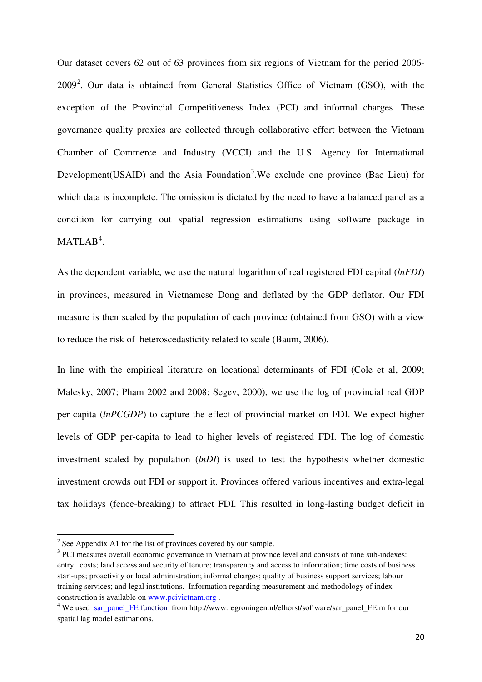Our dataset covers 62 out of 63 provinces from six regions of Vietnam for the period 2006-  $2009<sup>2</sup>$  $2009<sup>2</sup>$ . Our data is obtained from General Statistics Office of Vietnam (GSO), with the exception of the Provincial Competitiveness Index (PCI) and informal charges. These governance quality proxies are collected through collaborative effort between the Vietnam Chamber of Commerce and Industry (VCCI) and the U.S. Agency for International Development (USAID) and the Asia Foundation<sup>[3](#page-21-1)</sup>. We exclude one province (Bac Lieu) for which data is incomplete. The omission is dictated by the need to have a balanced panel as a condition for carrying out spatial regression estimations using software package in  $MATLAB<sup>4</sup>$  $MATLAB<sup>4</sup>$  $MATLAB<sup>4</sup>$ .

As the dependent variable, we use the natural logarithm of real registered FDI capital (*lnFDI*) in provinces, measured in Vietnamese Dong and deflated by the GDP deflator. Our FDI measure is then scaled by the population of each province (obtained from GSO) with a view to reduce the risk of heteroscedasticity related to scale (Baum, 2006).

In line with the empirical literature on locational determinants of FDI (Cole et al, 2009; Malesky, 2007; Pham 2002 and 2008; Segev, 2000), we use the log of provincial real GDP per capita (*lnPCGDP*) to capture the effect of provincial market on FDI. We expect higher levels of GDP per-capita to lead to higher levels of registered FDI. The log of domestic investment scaled by population (*lnDI*) is used to test the hypothesis whether domestic investment crowds out FDI or support it. Provinces offered various incentives and extra-legal tax holidays (fence-breaking) to attract FDI. This resulted in long-lasting budget deficit in

l

<span id="page-21-0"></span> $2^2$  See Appendix A1 for the list of provinces covered by our sample.

<span id="page-21-1"></span><sup>&</sup>lt;sup>3</sup> PCI measures overall economic governance in Vietnam at province level and consists of nine sub-indexes: entry costs; land access and security of tenure; transparency and access to information; time costs of business start-ups; proactivity or local administration; informal charges; quality of business support services; labour training services; and legal institutions. Information regarding measurement and methodology of index construction is available on www.pcivietnam.org .

<span id="page-21-2"></span><sup>&</sup>lt;sup>4</sup> We used sar\_panel\_FE function from http://www.regroningen.nl/elhorst/software/sar\_panel\_FE.m for our spatial lag model estimations.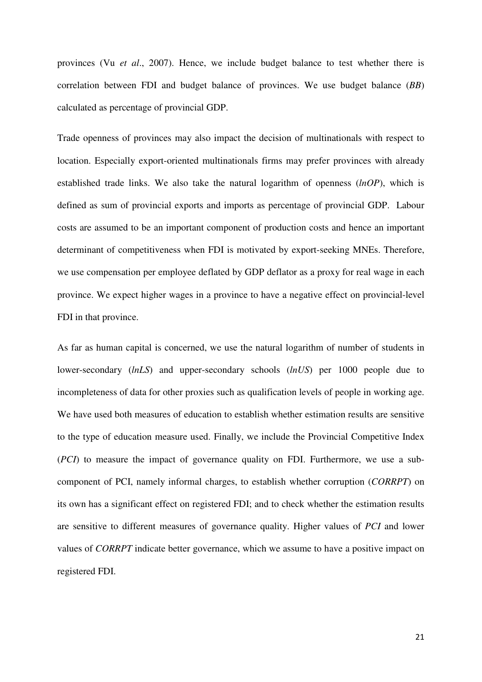provinces (Vu *et al*., 2007). Hence, we include budget balance to test whether there is correlation between FDI and budget balance of provinces. We use budget balance (*BB*) calculated as percentage of provincial GDP.

Trade openness of provinces may also impact the decision of multinationals with respect to location. Especially export-oriented multinationals firms may prefer provinces with already established trade links. We also take the natural logarithm of openness (*lnOP*), which is defined as sum of provincial exports and imports as percentage of provincial GDP. Labour costs are assumed to be an important component of production costs and hence an important determinant of competitiveness when FDI is motivated by export-seeking MNEs. Therefore, we use compensation per employee deflated by GDP deflator as a proxy for real wage in each province. We expect higher wages in a province to have a negative effect on provincial-level FDI in that province.

As far as human capital is concerned, we use the natural logarithm of number of students in lower-secondary (*lnLS*) and upper-secondary schools (*lnUS*) per 1000 people due to incompleteness of data for other proxies such as qualification levels of people in working age. We have used both measures of education to establish whether estimation results are sensitive to the type of education measure used. Finally, we include the Provincial Competitive Index (*PCI*) to measure the impact of governance quality on FDI. Furthermore, we use a subcomponent of PCI, namely informal charges, to establish whether corruption (*CORRPT*) on its own has a significant effect on registered FDI; and to check whether the estimation results are sensitive to different measures of governance quality. Higher values of *PCI* and lower values of *CORRPT* indicate better governance, which we assume to have a positive impact on registered FDI.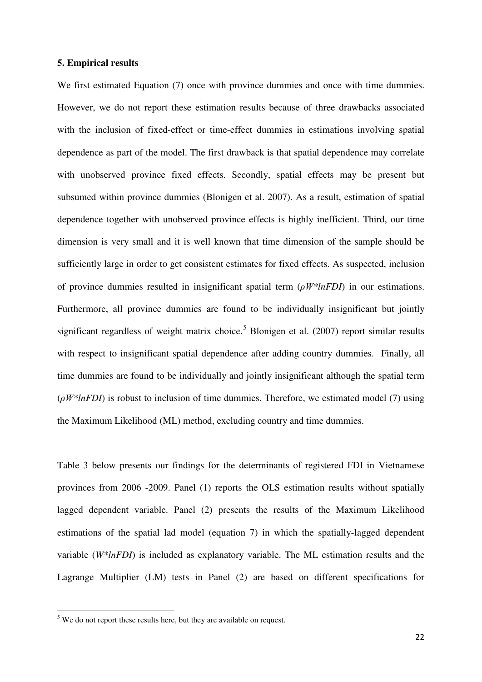#### **5. Empirical results**

We first estimated Equation (7) once with province dummies and once with time dummies. However, we do not report these estimation results because of three drawbacks associated with the inclusion of fixed-effect or time-effect dummies in estimations involving spatial dependence as part of the model. The first drawback is that spatial dependence may correlate with unobserved province fixed effects. Secondly, spatial effects may be present but subsumed within province dummies (Blonigen et al. 2007). As a result, estimation of spatial dependence together with unobserved province effects is highly inefficient. Third, our time dimension is very small and it is well known that time dimension of the sample should be sufficiently large in order to get consistent estimates for fixed effects. As suspected, inclusion of province dummies resulted in insignificant spatial term (*ρW\*lnFDI*) in our estimations. Furthermore, all province dummies are found to be individually insignificant but jointly significant regardless of weight matrix choice.<sup>[5](#page-23-0)</sup> Blonigen et al. (2007) report similar results with respect to insignificant spatial dependence after adding country dummies. Finally, all time dummies are found to be individually and jointly insignificant although the spatial term (*ρW\*lnFDI*) is robust to inclusion of time dummies. Therefore, we estimated model (7) using the Maximum Likelihood (ML) method, excluding country and time dummies.

Table 3 below presents our findings for the determinants of registered FDI in Vietnamese provinces from 2006 -2009. Panel (1) reports the OLS estimation results without spatially lagged dependent variable. Panel (2) presents the results of the Maximum Likelihood estimations of the spatial lad model (equation 7) in which the spatially-lagged dependent variable (*W\*lnFDI*) is included as explanatory variable. The ML estimation results and the Lagrange Multiplier (LM) tests in Panel (2) are based on different specifications for

l

<span id="page-23-0"></span><sup>&</sup>lt;sup>5</sup> We do not report these results here, but they are available on request.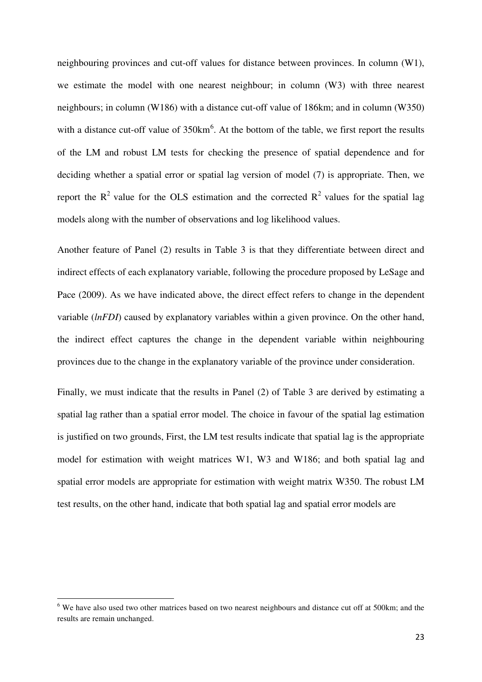neighbouring provinces and cut-off values for distance between provinces. In column (W1), we estimate the model with one nearest neighbour; in column (W3) with three nearest neighbours; in column (W186) with a distance cut-off value of 186km; and in column (W350) with a distance cut-off value of  $350 \text{km}^6$  $350 \text{km}^6$ . At the bottom of the table, we first report the results of the LM and robust LM tests for checking the presence of spatial dependence and for deciding whether a spatial error or spatial lag version of model (7) is appropriate. Then, we report the  $R^2$  value for the OLS estimation and the corrected  $R^2$  values for the spatial lag models along with the number of observations and log likelihood values.

Another feature of Panel (2) results in Table 3 is that they differentiate between direct and indirect effects of each explanatory variable, following the procedure proposed by LeSage and Pace (2009). As we have indicated above, the direct effect refers to change in the dependent variable (*lnFDI*) caused by explanatory variables within a given province. On the other hand, the indirect effect captures the change in the dependent variable within neighbouring provinces due to the change in the explanatory variable of the province under consideration.

Finally, we must indicate that the results in Panel (2) of Table 3 are derived by estimating a spatial lag rather than a spatial error model. The choice in favour of the spatial lag estimation is justified on two grounds, First, the LM test results indicate that spatial lag is the appropriate model for estimation with weight matrices W1, W3 and W186; and both spatial lag and spatial error models are appropriate for estimation with weight matrix W350. The robust LM test results, on the other hand, indicate that both spatial lag and spatial error models are

l

<span id="page-24-0"></span><sup>&</sup>lt;sup>6</sup> We have also used two other matrices based on two nearest neighbours and distance cut off at 500km; and the results are remain unchanged.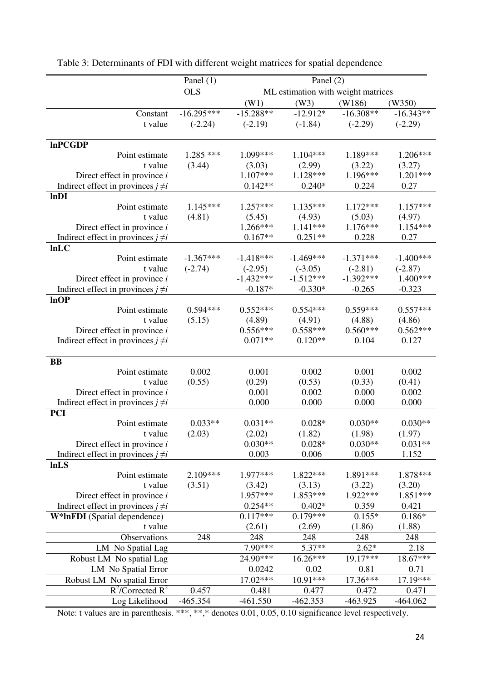|                                                 | Panel $(1)$  |             | Panel $(2)$ |                                    |             |
|-------------------------------------------------|--------------|-------------|-------------|------------------------------------|-------------|
|                                                 | <b>OLS</b>   |             |             | ML estimation with weight matrices |             |
|                                                 |              | (W1)        | (W3)        | (W186)                             | (W350)      |
| Constant                                        | $-16.295***$ | $-15.288**$ | $-12.912*$  | $-16.308**$                        | $-16.343**$ |
| t value                                         | $(-2.24)$    | $(-2.19)$   | $(-1.84)$   | $(-2.29)$                          | $(-2.29)$   |
|                                                 |              |             |             |                                    |             |
| <b>InPCGDP</b>                                  |              |             |             |                                    |             |
| Point estimate                                  | $1.285$ ***  | 1.099***    | $1.104***$  | 1.189***                           | 1.206***    |
| t value                                         | (3.44)       | (3.03)      | (2.99)      | (3.22)                             | (3.27)      |
| Direct effect in province $i$                   |              | $1.107***$  | $1.128***$  | 1.196***                           | $1.201***$  |
| Indirect effect in provinces $j \neq i$<br>lnDI |              | $0.142**$   | $0.240*$    | 0.224                              | 0.27        |
| Point estimate                                  | $1.145***$   | $1.257***$  | $1.135***$  | $1.172***$                         | $1.157***$  |
| t value                                         | (4.81)       | (5.45)      | (4.93)      | (5.03)                             | (4.97)      |
| Direct effect in province $i$                   |              | 1.266***    | $1.141***$  | $1.176***$                         | $1.154***$  |
| Indirect effect in provinces $j \neq i$         |              | $0.167**$   | $0.251**$   | 0.228                              | 0.27        |
| lnLC                                            |              |             |             |                                    |             |
| Point estimate                                  | $-1.367***$  | $-1.418***$ | $-1.469***$ | $-1.371***$                        | $-1.400***$ |
| t value                                         | $(-2.74)$    | $(-2.95)$   | $(-3.05)$   | $(-2.81)$                          | $(-2.87)$   |
| Direct effect in province $i$                   |              | $-1.432***$ | $-1.512***$ | $-1.392***$                        | 1.400***    |
| Indirect effect in provinces $j \neq i$         |              | $-0.187*$   | $-0.330*$   | $-0.265$                           | $-0.323$    |
| lnOP                                            |              |             |             |                                    |             |
| Point estimate                                  | $0.594***$   | $0.552***$  | $0.554***$  | $0.559***$                         | $0.557***$  |
| t value                                         | (5.15)       | (4.89)      | (4.91)      | (4.88)                             | (4.86)      |
| Direct effect in province $i$                   |              | $0.556***$  | $0.558***$  | $0.560***$                         | $0.562***$  |
| Indirect effect in provinces $j \neq i$         |              | $0.071**$   | $0.120**$   | 0.104                              | 0.127       |
|                                                 |              |             |             |                                    |             |
| <b>BB</b>                                       |              |             |             |                                    |             |
| Point estimate                                  | 0.002        | 0.001       | 0.002       | 0.001                              | 0.002       |
| t value                                         | (0.55)       | (0.29)      | (0.53)      | (0.33)                             | (0.41)      |
| Direct effect in province $i$                   |              | 0.001       | 0.002       | 0.000                              | 0.002       |
| Indirect effect in provinces $j \neq i$         |              | 0.000       | 0.000       | 0.000                              | 0.000       |
| <b>PCI</b><br>Point estimate                    | $0.033**$    | $0.031**$   | $0.028*$    | $0.030**$                          | $0.030**$   |
| t value                                         | (2.03)       | (2.02)      | (1.82)      | (1.98)                             | (1.97)      |
| Direct effect in province $i$                   |              | $0.030**$   | $0.028*$    | $0.030**$                          | $0.031**$   |
| Indirect effect in provinces $j \neq i$         |              | 0.003       | 0.006       | 0.005                              | 1.152       |
| lnLS                                            |              |             |             |                                    |             |
| Point estimate                                  | 2.109***     | 1.977***    | 1.822***    | 1.891***                           | 1.878***    |
| t value                                         | (3.51)       | (3.42)      | (3.13)      | (3.22)                             | (3.20)      |
| Direct effect in province $i$                   |              | 1.957***    | $1.853***$  | 1.922***                           | $1.851***$  |
| Indirect effect in provinces $j \neq i$         |              | $0.254**$   | $0.402*$    | 0.359                              | 0.421       |
| W*InFDI (Spatial dependence)                    |              | $0.117***$  | $0.179***$  | $0.155*$                           | $0.186*$    |
| t value                                         |              | (2.61)      | (2.69)      | (1.86)                             | (1.88)      |
| Observations                                    | 248          | 248         | 248         | 248                                | 248         |
| LM No Spatial Lag                               |              | 7.90***     | 5.37**      | $2.62*$                            | 2.18        |
| Robust LM No spatial Lag                        |              | 24.90***    | 16.26***    | $19.17***$                         | $18.67***$  |
| LM No Spatial Error                             |              | 0.0242      | 0.02        | 0.81                               | 0.71        |
| Robust LM No spatial Error                      |              | 17.02***    | 10.91***    | 17.36***                           | 17.19***    |
| $R^2$ /Corrected $R^2$                          | 0.457        | 0.481       | 0.477       | 0.472                              | 0.471       |
| Log Likelihood                                  | $-465.354$   | $-461.550$  | $-462.353$  | $-463.925$                         | $-464.062$  |

Table 3: Determinants of FDI with different weight matrices for spatial dependence

Note: t values are in parenthesis. \*\*\*, \*\*, \* denotes 0.01, 0.05, 0.10 significance level respectively.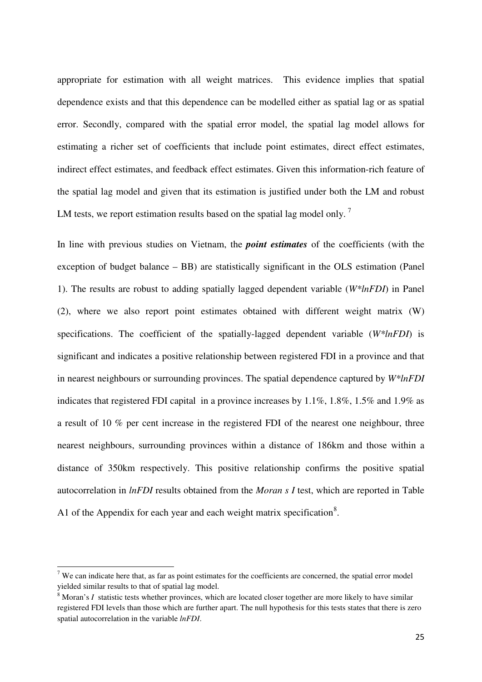appropriate for estimation with all weight matrices. This evidence implies that spatial dependence exists and that this dependence can be modelled either as spatial lag or as spatial error. Secondly, compared with the spatial error model, the spatial lag model allows for estimating a richer set of coefficients that include point estimates, direct effect estimates, indirect effect estimates, and feedback effect estimates. Given this information-rich feature of the spatial lag model and given that its estimation is justified under both the LM and robust LM tests, we report estimation results based on the spatial lag model only.<sup>[7](#page-26-0)</sup>

In line with previous studies on Vietnam, the *point estimates* of the coefficients (with the exception of budget balance – BB) are statistically significant in the OLS estimation (Panel 1). The results are robust to adding spatially lagged dependent variable (*W\*lnFDI*) in Panel (2), where we also report point estimates obtained with different weight matrix (W) specifications. The coefficient of the spatially-lagged dependent variable (*W\*lnFDI*) is significant and indicates a positive relationship between registered FDI in a province and that in nearest neighbours or surrounding provinces. The spatial dependence captured by *W\*lnFDI* indicates that registered FDI capital in a province increases by 1.1%, 1.8%, 1.5% and 1.9% as a result of 10 % per cent increase in the registered FDI of the nearest one neighbour, three nearest neighbours, surrounding provinces within a distance of 186km and those within a distance of 350km respectively. This positive relationship confirms the positive spatial autocorrelation in *lnFDI* results obtained from the *Moran s I* test, which are reported in Table A1 of the Appendix for each year and each weight matrix specification<sup>[8](#page-26-1)</sup>.

l

<span id="page-26-0"></span><sup>&</sup>lt;sup>7</sup> We can indicate here that, as far as point estimates for the coefficients are concerned, the spatial error model yielded similar results to that of spatial lag model.

<span id="page-26-1"></span><sup>&</sup>lt;sup>8</sup> Moran's *I* statistic tests whether provinces, which are located closer together are more likely to have similar registered FDI levels than those which are further apart. The null hypothesis for this tests states that there is zero spatial autocorrelation in the variable *lnFDI*.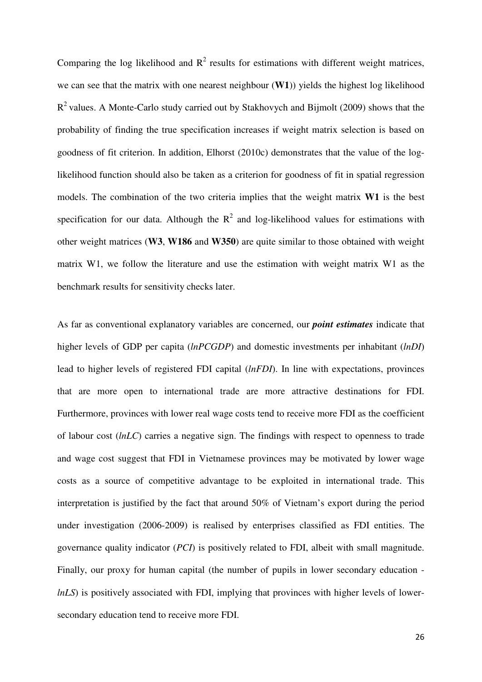Comparing the log likelihood and  $R^2$  results for estimations with different weight matrices, we can see that the matrix with one nearest neighbour (**W1**)) yields the highest log likelihood  $R<sup>2</sup>$  values. A Monte-Carlo study carried out by Stakhovych and Bijmolt (2009) shows that the probability of finding the true specification increases if weight matrix selection is based on goodness of fit criterion. In addition, Elhorst (2010c) demonstrates that the value of the loglikelihood function should also be taken as a criterion for goodness of fit in spatial regression models. The combination of the two criteria implies that the weight matrix **W1** is the best specification for our data. Although the  $R^2$  and log-likelihood values for estimations with other weight matrices (**W3**, **W186** and **W350**) are quite similar to those obtained with weight matrix W1, we follow the literature and use the estimation with weight matrix W1 as the benchmark results for sensitivity checks later.

As far as conventional explanatory variables are concerned, our *point estimates* indicate that higher levels of GDP per capita (*lnPCGDP*) and domestic investments per inhabitant (*lnDI*) lead to higher levels of registered FDI capital (*lnFDI*). In line with expectations, provinces that are more open to international trade are more attractive destinations for FDI. Furthermore, provinces with lower real wage costs tend to receive more FDI as the coefficient of labour cost (*lnLC*) carries a negative sign. The findings with respect to openness to trade and wage cost suggest that FDI in Vietnamese provinces may be motivated by lower wage costs as a source of competitive advantage to be exploited in international trade. This interpretation is justified by the fact that around 50% of Vietnam's export during the period under investigation (2006-2009) is realised by enterprises classified as FDI entities. The governance quality indicator (*PCI*) is positively related to FDI, albeit with small magnitude. Finally, our proxy for human capital (the number of pupils in lower secondary education *lnLS*) is positively associated with FDI, implying that provinces with higher levels of lowersecondary education tend to receive more FDI.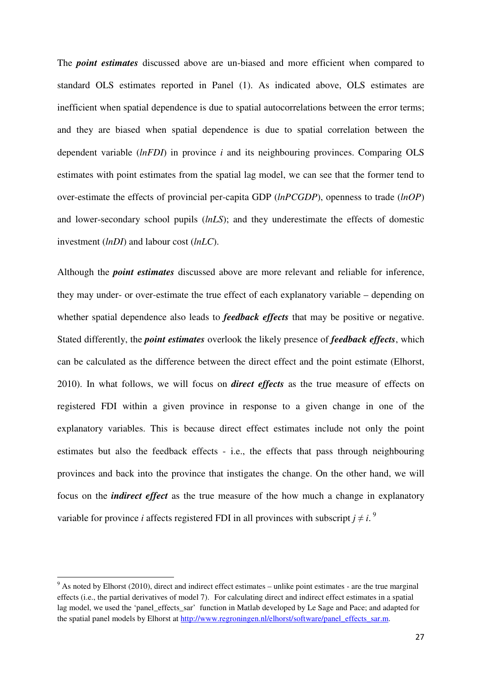The *point estimates* discussed above are un-biased and more efficient when compared to standard OLS estimates reported in Panel (1). As indicated above, OLS estimates are inefficient when spatial dependence is due to spatial autocorrelations between the error terms; and they are biased when spatial dependence is due to spatial correlation between the dependent variable (*lnFDI*) in province *i* and its neighbouring provinces. Comparing OLS estimates with point estimates from the spatial lag model, we can see that the former tend to over-estimate the effects of provincial per-capita GDP (*lnPCGDP*), openness to trade (*lnOP*) and lower-secondary school pupils (*lnLS*); and they underestimate the effects of domestic investment (*lnDI*) and labour cost (*lnLC*).

Although the *point estimates* discussed above are more relevant and reliable for inference, they may under- or over-estimate the true effect of each explanatory variable – depending on whether spatial dependence also leads to *feedback effects* that may be positive or negative. Stated differently, the *point estimates* overlook the likely presence of *feedback effects*, which can be calculated as the difference between the direct effect and the point estimate (Elhorst, 2010). In what follows, we will focus on *direct effects* as the true measure of effects on registered FDI within a given province in response to a given change in one of the explanatory variables. This is because direct effect estimates include not only the point estimates but also the feedback effects - i.e., the effects that pass through neighbouring provinces and back into the province that instigates the change. On the other hand, we will focus on the *indirect effect* as the true measure of the how much a change in explanatory variable for province *i* affects registered FDI in all provinces with subscript  $j \neq i$ .

l

<span id="page-28-0"></span> $9$  As noted by Elhorst (2010), direct and indirect effect estimates – unlike point estimates - are the true marginal effects (i.e., the partial derivatives of model 7). For calculating direct and indirect effect estimates in a spatial lag model, we used the 'panel effects sar' function in Matlab developed by Le Sage and Pace; and adapted for the spatial panel models by Elhorst at http://www.regroningen.nl/elhorst/software/panel\_effects\_sar.m.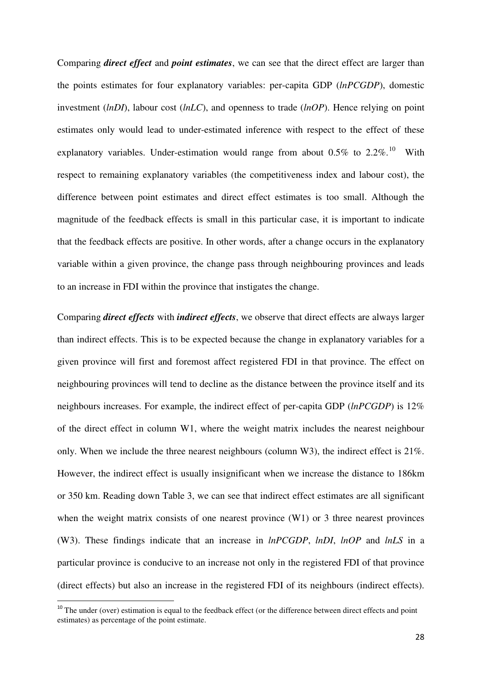Comparing *direct effect* and *point estimates*, we can see that the direct effect are larger than the points estimates for four explanatory variables: per-capita GDP (*lnPCGDP*), domestic investment (*lnDI*), labour cost (*lnLC*), and openness to trade (*lnOP*). Hence relying on point estimates only would lead to under-estimated inference with respect to the effect of these explanatory variables. Under-estimation would range from about  $0.5\%$  to  $2.2\%$ .<sup>[10](#page-29-0)</sup> With respect to remaining explanatory variables (the competitiveness index and labour cost), the difference between point estimates and direct effect estimates is too small. Although the magnitude of the feedback effects is small in this particular case, it is important to indicate that the feedback effects are positive. In other words, after a change occurs in the explanatory variable within a given province, the change pass through neighbouring provinces and leads to an increase in FDI within the province that instigates the change.

Comparing *direct effects* with *indirect effects*, we observe that direct effects are always larger than indirect effects. This is to be expected because the change in explanatory variables for a given province will first and foremost affect registered FDI in that province. The effect on neighbouring provinces will tend to decline as the distance between the province itself and its neighbours increases. For example, the indirect effect of per-capita GDP (*lnPCGDP*) is 12% of the direct effect in column W1, where the weight matrix includes the nearest neighbour only. When we include the three nearest neighbours (column W3), the indirect effect is 21%. However, the indirect effect is usually insignificant when we increase the distance to 186km or 350 km. Reading down Table 3, we can see that indirect effect estimates are all significant when the weight matrix consists of one nearest province (W1) or 3 three nearest provinces (W3). These findings indicate that an increase in *lnPCGDP*, *lnDI*, *lnOP* and *lnLS* in a particular province is conducive to an increase not only in the registered FDI of that province (direct effects) but also an increase in the registered FDI of its neighbours (indirect effects).

l

<span id="page-29-0"></span> $10$  The under (over) estimation is equal to the feedback effect (or the difference between direct effects and point estimates) as percentage of the point estimate.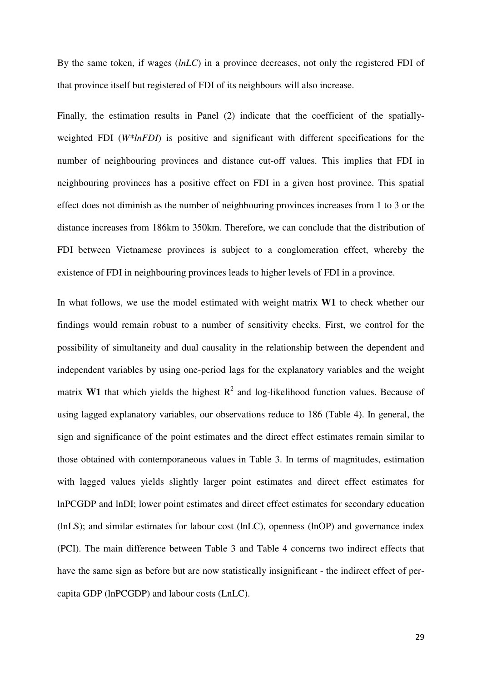By the same token, if wages (*lnLC*) in a province decreases, not only the registered FDI of that province itself but registered of FDI of its neighbours will also increase.

Finally, the estimation results in Panel (2) indicate that the coefficient of the spatiallyweighted FDI (*W\*lnFDI*) is positive and significant with different specifications for the number of neighbouring provinces and distance cut-off values. This implies that FDI in neighbouring provinces has a positive effect on FDI in a given host province. This spatial effect does not diminish as the number of neighbouring provinces increases from 1 to 3 or the distance increases from 186km to 350km. Therefore, we can conclude that the distribution of FDI between Vietnamese provinces is subject to a conglomeration effect, whereby the existence of FDI in neighbouring provinces leads to higher levels of FDI in a province.

In what follows, we use the model estimated with weight matrix **W1** to check whether our findings would remain robust to a number of sensitivity checks. First, we control for the possibility of simultaneity and dual causality in the relationship between the dependent and independent variables by using one-period lags for the explanatory variables and the weight matrix **W1** that which yields the highest  $R^2$  and log-likelihood function values. Because of using lagged explanatory variables, our observations reduce to 186 (Table 4). In general, the sign and significance of the point estimates and the direct effect estimates remain similar to those obtained with contemporaneous values in Table 3. In terms of magnitudes, estimation with lagged values yields slightly larger point estimates and direct effect estimates for lnPCGDP and lnDI; lower point estimates and direct effect estimates for secondary education (lnLS); and similar estimates for labour cost (lnLC), openness (lnOP) and governance index (PCI). The main difference between Table 3 and Table 4 concerns two indirect effects that have the same sign as before but are now statistically insignificant - the indirect effect of percapita GDP (lnPCGDP) and labour costs (LnLC).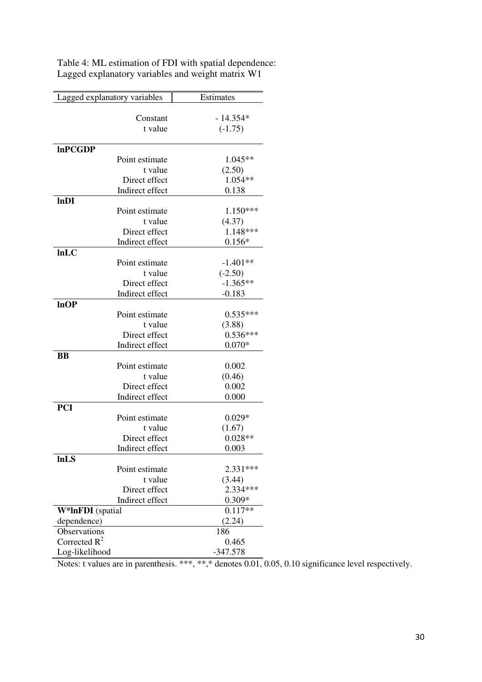| Lagged explanatory variables      | Estimates         |
|-----------------------------------|-------------------|
|                                   |                   |
| Constant                          | $-14.354*$        |
| t value                           | $(-1.75)$         |
|                                   |                   |
| <b>InPCGDP</b>                    |                   |
| Point estimate                    | 1.045**           |
| t value<br>Direct effect          | (2.50)<br>1.054** |
| Indirect effect                   | 0.138             |
| lnDI                              |                   |
| Point estimate                    | $1.150***$        |
| t value                           | (4.37)            |
| Direct effect                     | 1.148***          |
| Indirect effect                   | $0.156*$          |
| lnLC                              |                   |
| Point estimate                    | $-1.401**$        |
| t value                           | $(-2.50)$         |
| Direct effect                     | $-1.365**$        |
| Indirect effect                   | $-0.183$          |
| lnOP                              |                   |
| Point estimate                    | $0.535***$        |
| t value                           | (3.88)            |
| Direct effect                     | $0.536***$        |
| Indirect effect                   | $0.070*$          |
| BB                                |                   |
| Point estimate                    | 0.002             |
| t value                           | (0.46)            |
| Direct effect                     | 0.002             |
| Indirect effect                   | 0.000             |
| <b>PCI</b>                        |                   |
| Point estimate                    | $0.029*$          |
| t value                           | (1.67)            |
| Direct effect                     | $0.028**$         |
| Indirect effect                   | 0.003             |
| <b>InLS</b>                       |                   |
| Point estimate                    | 2.331***          |
| t value                           | (3.44)            |
| Direct effect                     | 2.334***          |
| Indirect effect                   | $0.309*$          |
| W*InFDI (spatial                  | $0.117**$         |
| dependence)                       | (2.24)            |
| Observations                      | 186               |
| Corrected $R^2$<br>Log-likelihood | 0.465             |
|                                   | $-347.578$        |

Table 4: ML estimation of FDI with spatial dependence: Lagged explanatory variables and weight matrix W1

Notes: t values are in parenthesis. \*\*\*, \*\*,\* denotes 0.01, 0.05, 0.10 significance level respectively.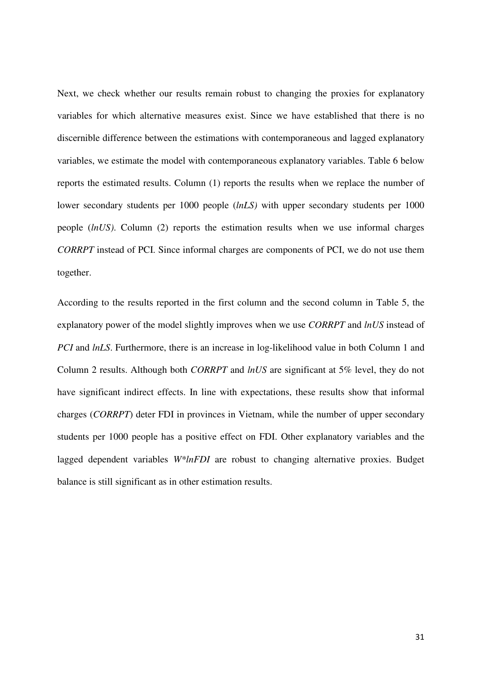Next, we check whether our results remain robust to changing the proxies for explanatory variables for which alternative measures exist. Since we have established that there is no discernible difference between the estimations with contemporaneous and lagged explanatory variables, we estimate the model with contemporaneous explanatory variables. Table 6 below reports the estimated results. Column (1) reports the results when we replace the number of lower secondary students per 1000 people (*lnLS)* with upper secondary students per 1000 people (*lnUS)*. Column (2) reports the estimation results when we use informal charges *CORRPT* instead of PCI. Since informal charges are components of PCI, we do not use them together.

According to the results reported in the first column and the second column in Table 5, the explanatory power of the model slightly improves when we use *CORRPT* and *lnUS* instead of *PCI* and *lnLS*. Furthermore, there is an increase in log-likelihood value in both Column 1 and Column 2 results. Although both *CORRPT* and *lnUS* are significant at 5% level, they do not have significant indirect effects. In line with expectations, these results show that informal charges (*CORRPT*) deter FDI in provinces in Vietnam, while the number of upper secondary students per 1000 people has a positive effect on FDI. Other explanatory variables and the lagged dependent variables *W\*lnFDI* are robust to changing alternative proxies. Budget balance is still significant as in other estimation results.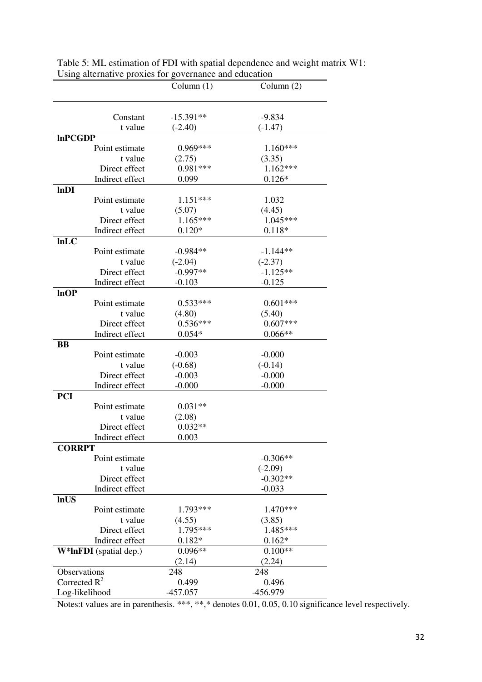| $-15.391**$<br>$-9.834$<br>Constant<br>t value<br>$(-2.40)$<br>$(-1.47)$<br><b>InPCGDP</b><br>0.969***<br>$1.160***$<br>Point estimate<br>t value<br>(2.75)<br>(3.35)<br>$1.162***$<br>$0.981***$<br>Direct effect<br>$0.126*$<br>Indirect effect<br>0.099<br>lnDI<br>$1.151***$<br>Point estimate<br>1.032<br>(4.45)<br>t value<br>(5.07)<br>$1.165***$<br>$1.045***$<br>Direct effect<br>Indirect effect<br>$0.120*$<br>$0.118*$<br>lnLC<br>Point estimate<br>$-0.984**$<br>$-1.144**$<br>t value<br>$(-2.04)$<br>$(-2.37)$<br>$-0.997**$<br>$-1.125**$<br>Direct effect<br>Indirect effect<br>$-0.103$<br>$-0.125$<br>lnOP<br>$0.601***$<br>$0.533***$<br>Point estimate<br>t value<br>(4.80)<br>(5.40) |
|------------------------------------------------------------------------------------------------------------------------------------------------------------------------------------------------------------------------------------------------------------------------------------------------------------------------------------------------------------------------------------------------------------------------------------------------------------------------------------------------------------------------------------------------------------------------------------------------------------------------------------------------------------------------------------------------------------|
|                                                                                                                                                                                                                                                                                                                                                                                                                                                                                                                                                                                                                                                                                                            |
|                                                                                                                                                                                                                                                                                                                                                                                                                                                                                                                                                                                                                                                                                                            |
|                                                                                                                                                                                                                                                                                                                                                                                                                                                                                                                                                                                                                                                                                                            |
|                                                                                                                                                                                                                                                                                                                                                                                                                                                                                                                                                                                                                                                                                                            |
|                                                                                                                                                                                                                                                                                                                                                                                                                                                                                                                                                                                                                                                                                                            |
|                                                                                                                                                                                                                                                                                                                                                                                                                                                                                                                                                                                                                                                                                                            |
|                                                                                                                                                                                                                                                                                                                                                                                                                                                                                                                                                                                                                                                                                                            |
|                                                                                                                                                                                                                                                                                                                                                                                                                                                                                                                                                                                                                                                                                                            |
|                                                                                                                                                                                                                                                                                                                                                                                                                                                                                                                                                                                                                                                                                                            |
|                                                                                                                                                                                                                                                                                                                                                                                                                                                                                                                                                                                                                                                                                                            |
|                                                                                                                                                                                                                                                                                                                                                                                                                                                                                                                                                                                                                                                                                                            |
|                                                                                                                                                                                                                                                                                                                                                                                                                                                                                                                                                                                                                                                                                                            |
|                                                                                                                                                                                                                                                                                                                                                                                                                                                                                                                                                                                                                                                                                                            |
|                                                                                                                                                                                                                                                                                                                                                                                                                                                                                                                                                                                                                                                                                                            |
|                                                                                                                                                                                                                                                                                                                                                                                                                                                                                                                                                                                                                                                                                                            |
|                                                                                                                                                                                                                                                                                                                                                                                                                                                                                                                                                                                                                                                                                                            |
|                                                                                                                                                                                                                                                                                                                                                                                                                                                                                                                                                                                                                                                                                                            |
|                                                                                                                                                                                                                                                                                                                                                                                                                                                                                                                                                                                                                                                                                                            |
|                                                                                                                                                                                                                                                                                                                                                                                                                                                                                                                                                                                                                                                                                                            |
|                                                                                                                                                                                                                                                                                                                                                                                                                                                                                                                                                                                                                                                                                                            |
|                                                                                                                                                                                                                                                                                                                                                                                                                                                                                                                                                                                                                                                                                                            |
| $0.536***$<br>$0.607***$<br>Direct effect                                                                                                                                                                                                                                                                                                                                                                                                                                                                                                                                                                                                                                                                  |
| $0.066**$<br>Indirect effect<br>$0.054*$                                                                                                                                                                                                                                                                                                                                                                                                                                                                                                                                                                                                                                                                   |
| <b>BB</b>                                                                                                                                                                                                                                                                                                                                                                                                                                                                                                                                                                                                                                                                                                  |
| Point estimate<br>$-0.003$<br>$-0.000$                                                                                                                                                                                                                                                                                                                                                                                                                                                                                                                                                                                                                                                                     |
| $(-0.68)$<br>t value<br>$(-0.14)$                                                                                                                                                                                                                                                                                                                                                                                                                                                                                                                                                                                                                                                                          |
| $-0.000$<br>Direct effect<br>$-0.003$                                                                                                                                                                                                                                                                                                                                                                                                                                                                                                                                                                                                                                                                      |
| Indirect effect<br>$-0.000$<br>$-0.000$                                                                                                                                                                                                                                                                                                                                                                                                                                                                                                                                                                                                                                                                    |
| <b>PCI</b>                                                                                                                                                                                                                                                                                                                                                                                                                                                                                                                                                                                                                                                                                                 |
| Point estimate<br>$0.031**$                                                                                                                                                                                                                                                                                                                                                                                                                                                                                                                                                                                                                                                                                |
| t value<br>(2.08)                                                                                                                                                                                                                                                                                                                                                                                                                                                                                                                                                                                                                                                                                          |
| $0.032**$<br>Direct effect                                                                                                                                                                                                                                                                                                                                                                                                                                                                                                                                                                                                                                                                                 |
| Indirect effect<br>0.003                                                                                                                                                                                                                                                                                                                                                                                                                                                                                                                                                                                                                                                                                   |
| <b>CORRPT</b>                                                                                                                                                                                                                                                                                                                                                                                                                                                                                                                                                                                                                                                                                              |
| $-0.306**$<br>Point estimate<br>t value                                                                                                                                                                                                                                                                                                                                                                                                                                                                                                                                                                                                                                                                    |
| $(-2.09)$<br>$-0.302**$<br>Direct effect                                                                                                                                                                                                                                                                                                                                                                                                                                                                                                                                                                                                                                                                   |
| Indirect effect<br>$-0.033$                                                                                                                                                                                                                                                                                                                                                                                                                                                                                                                                                                                                                                                                                |
| <b>InUS</b>                                                                                                                                                                                                                                                                                                                                                                                                                                                                                                                                                                                                                                                                                                |
| 1.793***<br>1.470***<br>Point estimate                                                                                                                                                                                                                                                                                                                                                                                                                                                                                                                                                                                                                                                                     |
| t value<br>(4.55)<br>(3.85)                                                                                                                                                                                                                                                                                                                                                                                                                                                                                                                                                                                                                                                                                |
| 1.795***<br>1.485***<br>Direct effect                                                                                                                                                                                                                                                                                                                                                                                                                                                                                                                                                                                                                                                                      |
| Indirect effect<br>$0.182*$<br>$0.162*$                                                                                                                                                                                                                                                                                                                                                                                                                                                                                                                                                                                                                                                                    |
| $0.096**$<br>$0.100**$<br>W*InFDI (spatial dep.)                                                                                                                                                                                                                                                                                                                                                                                                                                                                                                                                                                                                                                                           |
| (2.14)<br>(2.24)                                                                                                                                                                                                                                                                                                                                                                                                                                                                                                                                                                                                                                                                                           |
| Observations<br>248<br>248                                                                                                                                                                                                                                                                                                                                                                                                                                                                                                                                                                                                                                                                                 |
| Corrected $R^2$<br>0.499<br>0.496                                                                                                                                                                                                                                                                                                                                                                                                                                                                                                                                                                                                                                                                          |
| Log-likelihood<br>-457.057<br>-456.979                                                                                                                                                                                                                                                                                                                                                                                                                                                                                                                                                                                                                                                                     |

Table 5: ML estimation of FDI with spatial dependence and weight matrix W1: Using alternative proxies for governance and education

Notes:t values are in parenthesis. \*\*\*, \*\*,\* denotes 0.01, 0.05, 0.10 significance level respectively.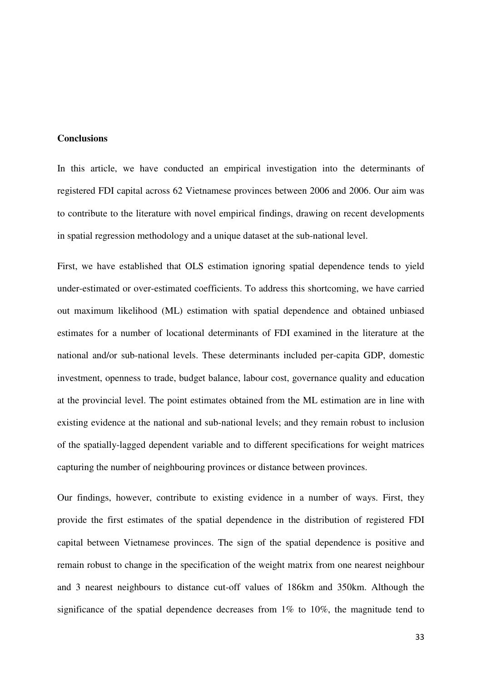#### **Conclusions**

In this article, we have conducted an empirical investigation into the determinants of registered FDI capital across 62 Vietnamese provinces between 2006 and 2006. Our aim was to contribute to the literature with novel empirical findings, drawing on recent developments in spatial regression methodology and a unique dataset at the sub-national level.

First, we have established that OLS estimation ignoring spatial dependence tends to yield under-estimated or over-estimated coefficients. To address this shortcoming, we have carried out maximum likelihood (ML) estimation with spatial dependence and obtained unbiased estimates for a number of locational determinants of FDI examined in the literature at the national and/or sub-national levels. These determinants included per-capita GDP, domestic investment, openness to trade, budget balance, labour cost, governance quality and education at the provincial level. The point estimates obtained from the ML estimation are in line with existing evidence at the national and sub-national levels; and they remain robust to inclusion of the spatially-lagged dependent variable and to different specifications for weight matrices capturing the number of neighbouring provinces or distance between provinces.

Our findings, however, contribute to existing evidence in a number of ways. First, they provide the first estimates of the spatial dependence in the distribution of registered FDI capital between Vietnamese provinces. The sign of the spatial dependence is positive and remain robust to change in the specification of the weight matrix from one nearest neighbour and 3 nearest neighbours to distance cut-off values of 186km and 350km. Although the significance of the spatial dependence decreases from  $1\%$  to  $10\%$ , the magnitude tend to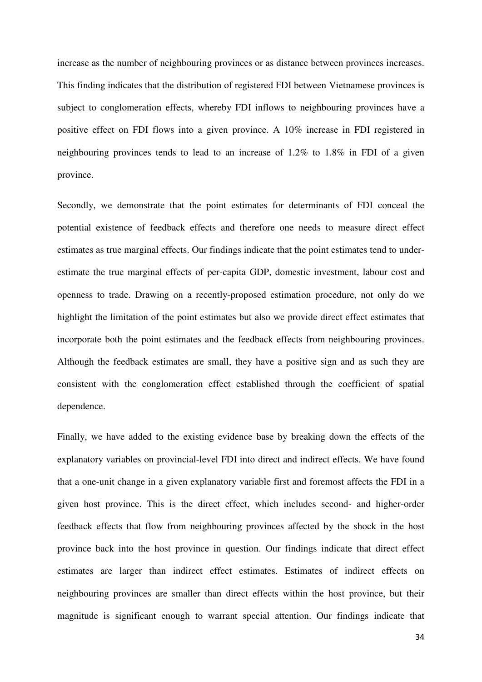increase as the number of neighbouring provinces or as distance between provinces increases. This finding indicates that the distribution of registered FDI between Vietnamese provinces is subject to conglomeration effects, whereby FDI inflows to neighbouring provinces have a positive effect on FDI flows into a given province. A 10% increase in FDI registered in neighbouring provinces tends to lead to an increase of 1.2% to 1.8% in FDI of a given province.

Secondly, we demonstrate that the point estimates for determinants of FDI conceal the potential existence of feedback effects and therefore one needs to measure direct effect estimates as true marginal effects. Our findings indicate that the point estimates tend to underestimate the true marginal effects of per-capita GDP, domestic investment, labour cost and openness to trade. Drawing on a recently-proposed estimation procedure, not only do we highlight the limitation of the point estimates but also we provide direct effect estimates that incorporate both the point estimates and the feedback effects from neighbouring provinces. Although the feedback estimates are small, they have a positive sign and as such they are consistent with the conglomeration effect established through the coefficient of spatial dependence.

Finally, we have added to the existing evidence base by breaking down the effects of the explanatory variables on provincial-level FDI into direct and indirect effects. We have found that a one-unit change in a given explanatory variable first and foremost affects the FDI in a given host province. This is the direct effect, which includes second- and higher-order feedback effects that flow from neighbouring provinces affected by the shock in the host province back into the host province in question. Our findings indicate that direct effect estimates are larger than indirect effect estimates. Estimates of indirect effects on neighbouring provinces are smaller than direct effects within the host province, but their magnitude is significant enough to warrant special attention. Our findings indicate that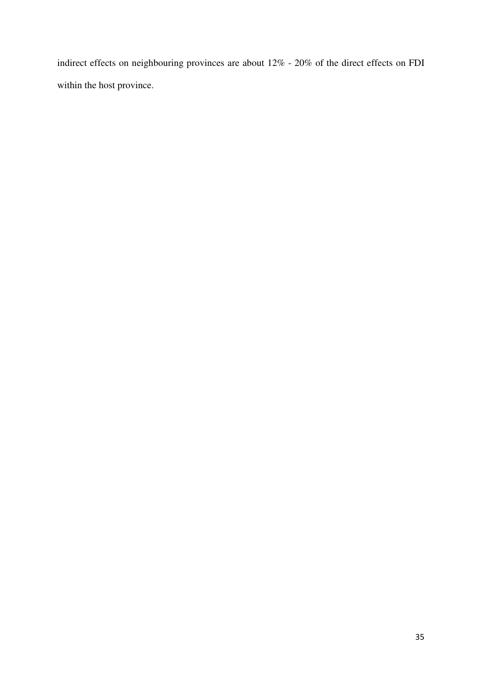indirect effects on neighbouring provinces are about 12% - 20% of the direct effects on FDI within the host province.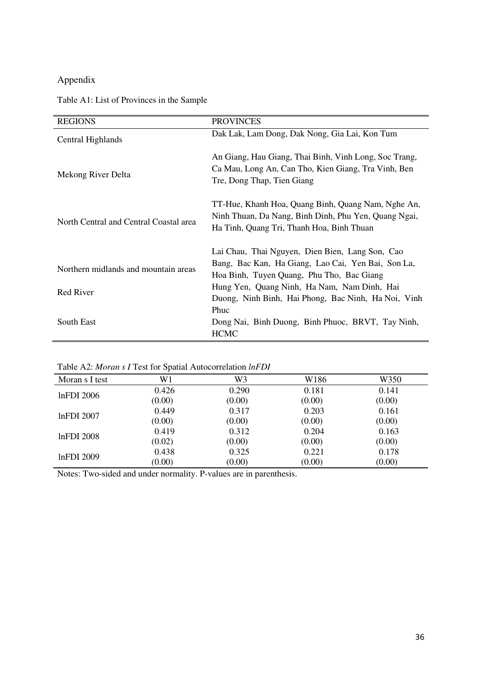### Appendix

### Table A1: List of Provinces in the Sample

| <b>REGIONS</b>                                    | <b>PROVINCES</b>                                                                                                                                                                                                                                         |
|---------------------------------------------------|----------------------------------------------------------------------------------------------------------------------------------------------------------------------------------------------------------------------------------------------------------|
| Central Highlands                                 | Dak Lak, Lam Dong, Dak Nong, Gia Lai, Kon Tum                                                                                                                                                                                                            |
| Mekong River Delta                                | An Giang, Hau Giang, Thai Binh, Vinh Long, Soc Trang,<br>Ca Mau, Long An, Can Tho, Kien Giang, Tra Vinh, Ben<br>Tre, Dong Thap, Tien Giang                                                                                                               |
| North Central and Central Coastal area            | TT-Hue, Khanh Hoa, Quang Binh, Quang Nam, Nghe An,<br>Ninh Thuan, Da Nang, Binh Dinh, Phu Yen, Quang Ngai,<br>Ha Tinh, Quang Tri, Thanh Hoa, Binh Thuan                                                                                                  |
| Northern midlands and mountain areas<br>Red River | Lai Chau, Thai Nguyen, Dien Bien, Lang Son, Cao<br>Bang, Bac Kan, Ha Giang, Lao Cai, Yen Bai, Son La,<br>Hoa Binh, Tuyen Quang, Phu Tho, Bac Giang<br>Hung Yen, Quang Ninh, Ha Nam, Nam Dinh, Hai<br>Duong, Ninh Binh, Hai Phong, Bac Ninh, Ha Noi, Vinh |
| South East                                        | Phuc<br>Dong Nai, Binh Duong, Binh Phuoc, BRVT, Tay Ninh,<br><b>HCMC</b>                                                                                                                                                                                 |

Table A2: *Moran s I* Test for Spatial Autocorrelation *lnFDI*

| Moran s I test    | W1                                 | W <sub>3</sub> | W186                                                                                                                                                                                        | W350  |
|-------------------|------------------------------------|----------------|---------------------------------------------------------------------------------------------------------------------------------------------------------------------------------------------|-------|
| $lnFDI$ 2006      | 0.426                              | 0.290          | 0.181                                                                                                                                                                                       | 0.141 |
|                   | (0.00)                             | (0.00)         | (0.00)<br>(0.00)<br>0.317<br>0.203<br>0.161<br>(0.00)<br>(0.00)<br>(0.00)<br>0.312<br>0.204<br>0.163<br>(0.00)<br>(0.00)<br>(0.00)<br>0.325<br>0.221<br>0.178<br>(0.00)<br>(0.00)<br>(0.00) |       |
| $ln$ FDI 2007     | 0.449                              |                |                                                                                                                                                                                             |       |
|                   | (0.00)<br>0.419<br>(0.02)<br>0.438 |                |                                                                                                                                                                                             |       |
| <b>lnFDI</b> 2008 |                                    |                |                                                                                                                                                                                             |       |
|                   |                                    |                |                                                                                                                                                                                             |       |
| lnFDI 2009        |                                    |                |                                                                                                                                                                                             |       |
|                   | (0.00)                             |                |                                                                                                                                                                                             |       |

Notes: Two-sided and under normality. P-values are in parenthesis.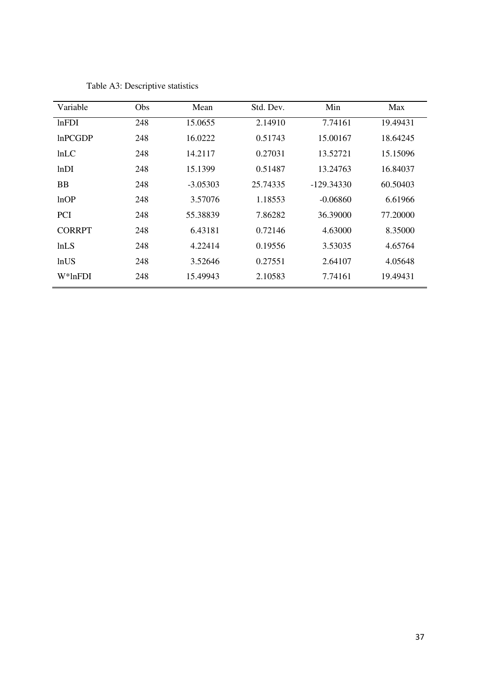| Variable       | Obs | Mean       | Std. Dev. | Min          | Max      |
|----------------|-----|------------|-----------|--------------|----------|
| lnFDI          | 248 | 15.0655    | 2.14910   | 7.74161      | 19.49431 |
| InPCGDP        | 248 | 16.0222    | 0.51743   | 15.00167     | 18.64245 |
| ln LC          | 248 | 14.2117    | 0.27031   | 13.52721     | 15.15096 |
| lnDI           | 248 | 15.1399    | 0.51487   | 13.24763     | 16.84037 |
| <b>BB</b>      | 248 | $-3.05303$ | 25.74335  | $-129.34330$ | 60.50403 |
| lnOP           | 248 | 3.57076    | 1.18553   | $-0.06860$   | 6.61966  |
| <b>PCI</b>     | 248 | 55.38839   | 7.86282   | 36.39000     | 77.20000 |
| <b>CORRPT</b>  | 248 | 6.43181    | 0.72146   | 4.63000      | 8.35000  |
| lnLS           | 248 | 4.22414    | 0.19556   | 3.53035      | 4.65764  |
| lnUS           | 248 | 3.52646    | 0.27551   | 2.64107      | 4.05648  |
| $W^*$ ln $FDI$ | 248 | 15.49943   | 2.10583   | 7.74161      | 19.49431 |

Table A3: Descriptive statistics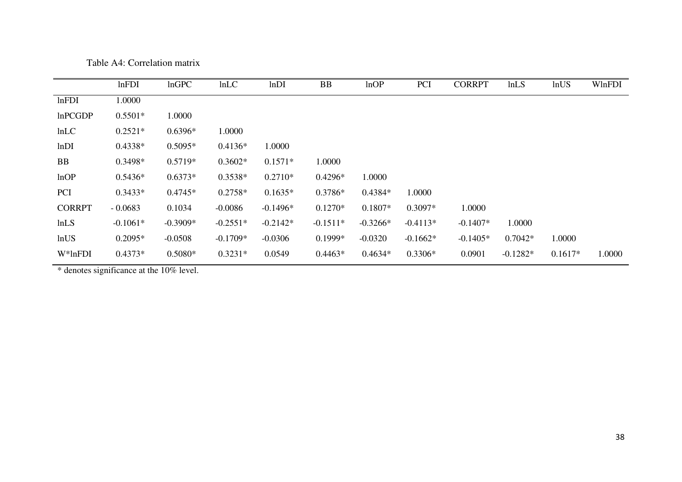|                | lnFDI      | lnGPC      | lnLC       | lnDI       | <b>BB</b>  | lnOP       | <b>PCI</b> | <b>CORRPT</b> | lnLS       | lnUS      | WlnFDI |
|----------------|------------|------------|------------|------------|------------|------------|------------|---------------|------------|-----------|--------|
| lnFDI          | 1.0000     |            |            |            |            |            |            |               |            |           |        |
| <b>InPCGDP</b> | $0.5501*$  | 1.0000     |            |            |            |            |            |               |            |           |        |
| lnLC           | $0.2521*$  | $0.6396*$  | 1.0000     |            |            |            |            |               |            |           |        |
| lnDI           | $0.4338*$  | $0.5095*$  | $0.4136*$  | 1.0000     |            |            |            |               |            |           |        |
| <b>BB</b>      | 0.3498*    | $0.5719*$  | $0.3602*$  | $0.1571*$  | 1.0000     |            |            |               |            |           |        |
| lnOP           | $0.5436*$  | $0.6373*$  | $0.3538*$  | $0.2710*$  | $0.4296*$  | 1.0000     |            |               |            |           |        |
| <b>PCI</b>     | $0.3433*$  | $0.4745*$  | $0.2758*$  | $0.1635*$  | $0.3786*$  | $0.4384*$  | 1.0000     |               |            |           |        |
| <b>CORRPT</b>  | $-0.0683$  | 0.1034     | $-0.0086$  | $-0.1496*$ | $0.1270*$  | $0.1807*$  | $0.3097*$  | 1.0000        |            |           |        |
| lnLS           | $-0.1061*$ | $-0.3909*$ | $-0.2551*$ | $-0.2142*$ | $-0.1511*$ | $-0.3266*$ | $-0.4113*$ | $-0.1407*$    | 1.0000     |           |        |
| lnUS           | $0.2095*$  | $-0.0508$  | $-0.1709*$ | $-0.0306$  | $0.1999*$  | $-0.0320$  | $-0.1662*$ | $-0.1405*$    | $0.7042*$  | 1.0000    |        |
| $W^*$ lnFDI    | $0.4373*$  | $0.5080*$  | $0.3231*$  | 0.0549     | $0.4463*$  | $0.4634*$  | $0.3306*$  | 0.0901        | $-0.1282*$ | $0.1617*$ | 1.0000 |

Table A4: Correlation matrix

\* denotes significance at the 10% level.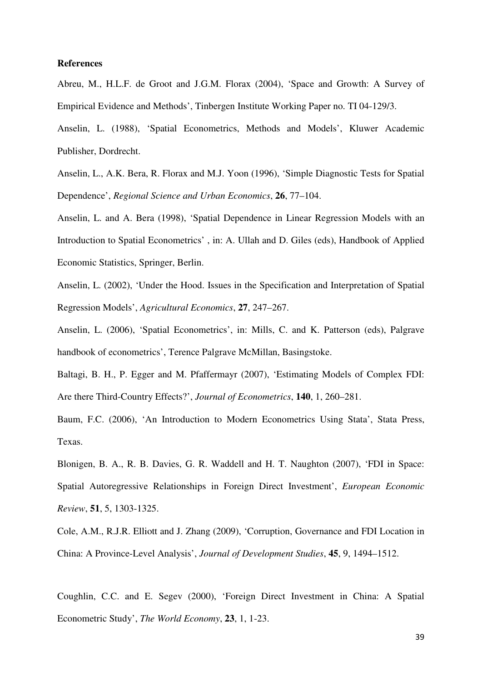#### **References**

Abreu, M., H.L.F. de Groot and J.G.M. Florax (2004), 'Space and Growth: A Survey of Empirical Evidence and Methods', Tinbergen Institute Working Paper no. TI 04-129/3.

Anselin, L. (1988), 'Spatial Econometrics, Methods and Models', Kluwer Academic Publisher, Dordrecht.

Anselin, L., A.K. Bera, R. Florax and M.J. Yoon (1996), 'Simple Diagnostic Tests for Spatial Dependence', *Regional Science and Urban Economics*, **26**, 77–104.

Anselin, L. and A. Bera (1998), 'Spatial Dependence in Linear Regression Models with an Introduction to Spatial Econometrics' , in: A. Ullah and D. Giles (eds), Handbook of Applied Economic Statistics, Springer, Berlin.

Anselin, L. (2002), 'Under the Hood. Issues in the Specification and Interpretation of Spatial Regression Models', *Agricultural Economics*, **27**, 247–267.

Anselin, L. (2006), 'Spatial Econometrics', in: Mills, C. and K. Patterson (eds), Palgrave handbook of econometrics', Terence Palgrave McMillan, Basingstoke.

Baltagi, B. H., P. Egger and M. Pfaffermayr (2007), 'Estimating Models of Complex FDI: Are there Third-Country Effects?', *Journal of Econometrics*, **140**, 1, 260–281.

Baum, F.C. (2006), 'An Introduction to Modern Econometrics Using Stata', Stata Press, Texas.

Blonigen, B. A., R. B. Davies, G. R. Waddell and H. T. Naughton (2007), 'FDI in Space: Spatial Autoregressive Relationships in Foreign Direct Investment', *European Economic Review*, **51**, 5, 1303-1325.

Cole, A.M., R.J.R. Elliott and J. Zhang (2009), 'Corruption, Governance and FDI Location in China: A Province-Level Analysis', *Journal of Development Studies*, **45**, 9, 1494–1512.

Coughlin, C.C. and E. Segev (2000), 'Foreign Direct Investment in China: A Spatial Econometric Study', *The World Economy*, **23**, 1, 1-23.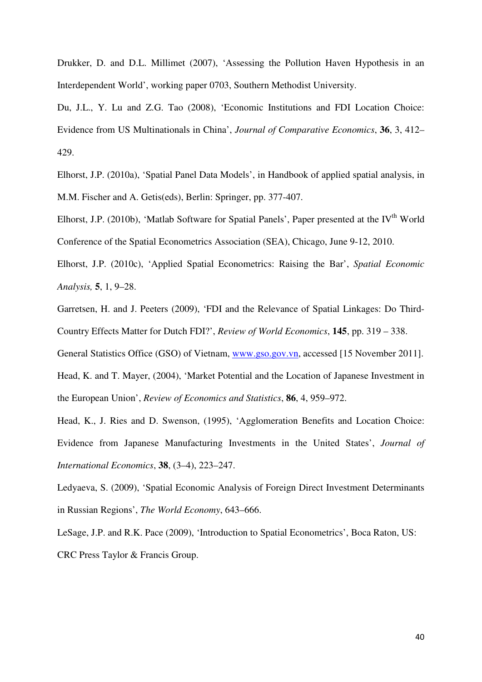Drukker, D. and D.L. Millimet (2007), 'Assessing the Pollution Haven Hypothesis in an Interdependent World', working paper 0703, Southern Methodist University.

Du, J.L., Y. Lu and Z.G. Tao (2008), 'Economic Institutions and FDI Location Choice: Evidence from US Multinationals in China', *Journal of Comparative Economics*, **36**, 3, 412– 429.

Elhorst, J.P. (2010a), 'Spatial Panel Data Models', in Handbook of applied spatial analysis, in M.M. Fischer and A. Getis(eds), Berlin: Springer, pp. 377-407.

Elhorst, J.P. (2010b), 'Matlab Software for Spatial Panels', Paper presented at the IV<sup>th</sup> World Conference of the Spatial Econometrics Association (SEA), Chicago, June 9-12, 2010.

Elhorst, J.P. (2010c), 'Applied Spatial Econometrics: Raising the Bar', *Spatial Economic Analysis,* **5**, 1, 9–28.

Garretsen, H. and J. Peeters (2009), 'FDI and the Relevance of Spatial Linkages: Do Third-Country Effects Matter for Dutch FDI?', *Review of World Economics*, **145**, pp. 319 – 338.

General Statistics Office (GSO) of Vietnam, www.gso.gov.vn, accessed [15 November 2011].

Head, K. and T. Mayer, (2004), 'Market Potential and the Location of Japanese Investment in the European Union', *Review of Economics and Statistics*, **86**, 4, 959–972.

Head, K., J. Ries and D. Swenson, (1995), 'Agglomeration Benefits and Location Choice: Evidence from Japanese Manufacturing Investments in the United States', *Journal of International Economics*, **38**, (3–4), 223–247.

Ledyaeva, S. (2009), 'Spatial Economic Analysis of Foreign Direct Investment Determinants in Russian Regions', *The World Economy*, 643–666.

LeSage, J.P. and R.K. Pace (2009), 'Introduction to Spatial Econometrics', Boca Raton, US: CRC Press Taylor & Francis Group.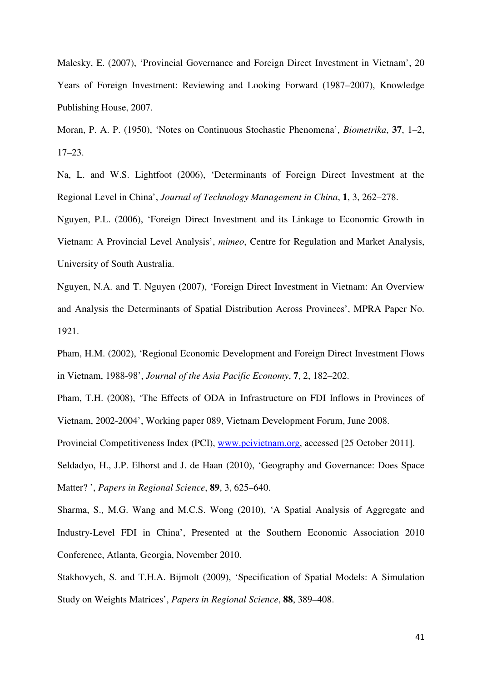Malesky, E. (2007), 'Provincial Governance and Foreign Direct Investment in Vietnam', 20 Years of Foreign Investment: Reviewing and Looking Forward (1987–2007), Knowledge Publishing House, 2007.

Moran, P. A. P. (1950), 'Notes on Continuous Stochastic Phenomena', *Biometrika*, **37**, 1–2, 17–23.

Na, L. and W.S. Lightfoot (2006), 'Determinants of Foreign Direct Investment at the Regional Level in China', *Journal of Technology Management in China*, **1**, 3, 262–278.

Nguyen, P.L. (2006), 'Foreign Direct Investment and its Linkage to Economic Growth in Vietnam: A Provincial Level Analysis', *mimeo*, Centre for Regulation and Market Analysis, University of South Australia.

Nguyen, N.A. and T. Nguyen (2007), 'Foreign Direct Investment in Vietnam: An Overview and Analysis the Determinants of Spatial Distribution Across Provinces', MPRA Paper No. 1921.

Pham, H.M. (2002), 'Regional Economic Development and Foreign Direct Investment Flows in Vietnam, 1988-98', *Journal of the Asia Pacific Economy*, **7**, 2, 182–202.

Pham, T.H. (2008), 'The Effects of ODA in Infrastructure on FDI Inflows in Provinces of Vietnam, 2002-2004', Working paper 089, Vietnam Development Forum, June 2008.

Provincial Competitiveness Index (PCI), www.pcivietnam.org, accessed [25 October 2011].

Seldadyo, H., J.P. Elhorst and J. de Haan (2010), 'Geography and Governance: Does Space Matter? ', *Papers in Regional Science*, **89**, 3, 625–640.

Sharma, S., M.G. Wang and M.C.S. Wong (2010), 'A Spatial Analysis of Aggregate and Industry-Level FDI in China', Presented at the Southern Economic Association 2010 Conference, Atlanta, Georgia, November 2010.

Stakhovych, S. and T.H.A. Bijmolt (2009), 'Specification of Spatial Models: A Simulation Study on Weights Matrices', *Papers in Regional Science*, **88**, 389–408.